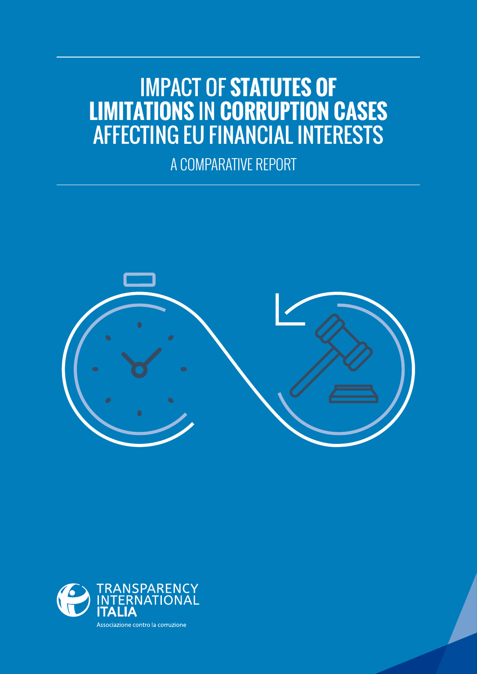# IMPACT OF **STATUTES OF LIMITATIONS** IN **CORRUPTION CASES**  AFFECTING EU FINANCIAL INTERESTS

A COMPARATIVE REPORT



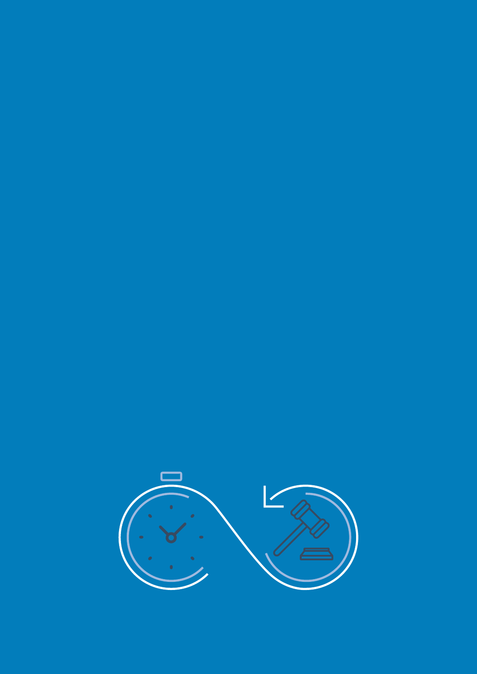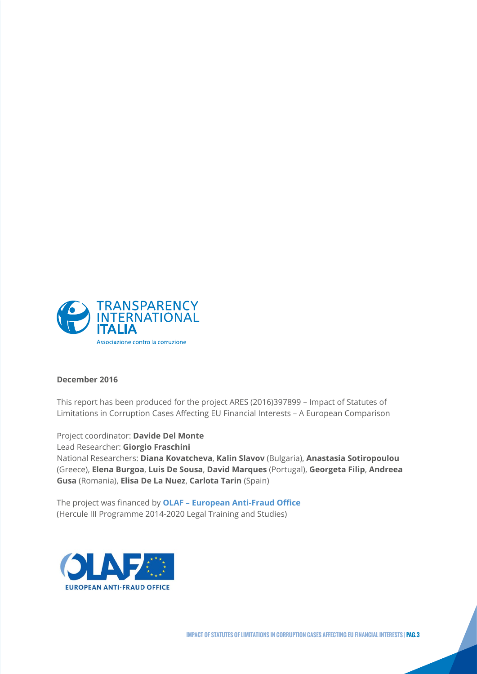

### **December 2016**

This report has been produced for the project ARES (2016)397899 – Impact of Statutes of Limitations in Corruption Cases Affecting EU Financial Interests – A European Comparison

Project coordinator: **Davide Del Monte** Lead Researcher: **Giorgio Fraschini** National Researchers: **Diana Kovatcheva**, **Kalin Slavov** (Bulgaria), **Anastasia Sotiropoulou** (Greece), **Elena Burgoa**, **Luis De Sousa**, **David Marques** (Portugal), **Georgeta Filip**, **Andreea Gusa** (Romania), **Elisa De La Nuez**, **Carlota Tarin** (Spain)

The project was financed by **OLAF – European Anti-Fraud Office** (Hercule III Programme 2014-2020 Legal Training and Studies)

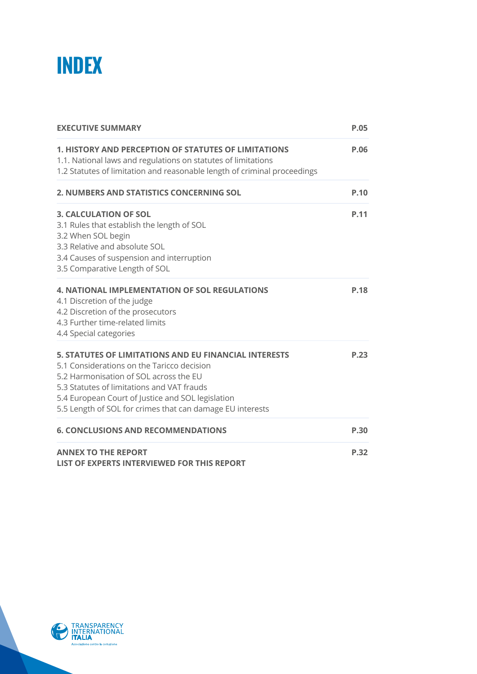# **INDEX**

| <b>EXECUTIVE SUMMARY</b>                                                                                                                                                                                                                                                                                      | P.05 |
|---------------------------------------------------------------------------------------------------------------------------------------------------------------------------------------------------------------------------------------------------------------------------------------------------------------|------|
| <b>1. HISTORY AND PERCEPTION OF STATUTES OF LIMITATIONS</b><br>1.1. National laws and regulations on statutes of limitations<br>1.2 Statutes of limitation and reasonable length of criminal proceedings                                                                                                      | P.06 |
| 2. NUMBERS AND STATISTICS CONCERNING SOL                                                                                                                                                                                                                                                                      | P.10 |
| <b>3. CALCULATION OF SOL</b><br>3.1 Rules that establish the length of SOL<br>3.2 When SOL begin<br>3.3 Relative and absolute SOL<br>3.4 Causes of suspension and interruption<br>3.5 Comparative Length of SOL                                                                                               | P.11 |
| <b>4. NATIONAL IMPLEMENTATION OF SOL REGULATIONS</b><br>4.1 Discretion of the judge<br>4.2 Discretion of the prosecutors<br>4.3 Further time-related limits<br>4.4 Special categories                                                                                                                         | P.18 |
| 5. STATUTES OF LIMITATIONS AND EU FINANCIAL INTERESTS<br>5.1 Considerations on the Taricco decision<br>5.2 Harmonisation of SOL across the EU<br>5.3 Statutes of limitations and VAT frauds<br>5.4 European Court of Justice and SOL legislation<br>5.5 Length of SOL for crimes that can damage EU interests | P.23 |
| <b>6. CONCLUSIONS AND RECOMMENDATIONS</b>                                                                                                                                                                                                                                                                     | P.30 |
| <b>ANNEX TO THE REPORT</b><br>LIST OF EXPERTS INTERVIEWED FOR THIS REPORT                                                                                                                                                                                                                                     | P.32 |

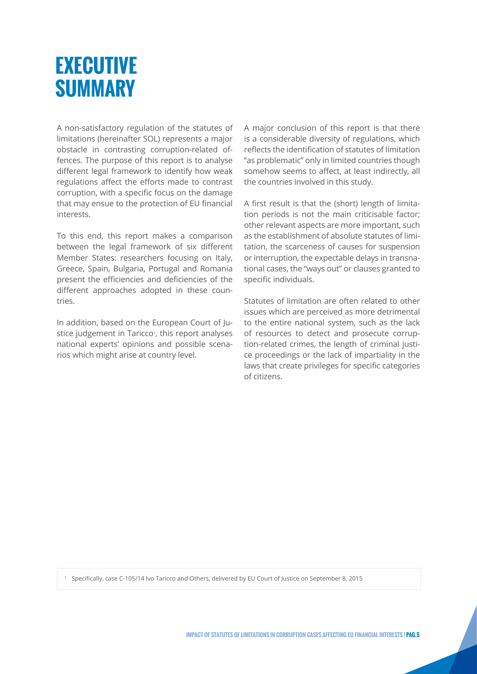# **EXECUTIVE SUMMARY**

A non-satisfactory regulation of the statutes of limitations (hereinafter SOL) represents a major obstacle in contrasting corruption-related offences. The purpose of this report is to analyse different legal framework to identify how weak regulations affect the efforts made to contrast corruption, with a specific focus on the damage that may ensue to the protection of EU financial interests.

To this end, this report makes a comparison between the legal framework of six different Member States: researchers focusing on Italy, Greece, Spain, Bulgaria, Portugal and Romania present the efficiencies and deficiencies of the different approaches adopted in these countries.

In addition, based on the European Court of Justice judgement in Taricco<sup>1</sup>, this report analyses national experts' opinions and possible scenarios which might arise at country level.

A major conclusion of this report is that there is a considerable diversity of regulations, which reflects the identification of statutes of limitation "as problematic" only in limited countries though somehow seems to affect, at least indirectly, all the countries involved in this study.

A first result is that the (short) length of limitation periods is not the main criticisable factor; other relevant aspects are more important, such as the establishment of absolute statutes of limitation, the scarceness of causes for suspension or interruption, the expectable delays in transnational cases, the "ways out" or clauses granted to specific individuals.

Statutes of limitation are often related to other issues which are perceived as more detrimental to the entire national system, such as the lack of resources to detect and prosecute corruption-related crimes, the length of criminal justice proceedings or the lack of impartiality in the laws that create privileges for specific categories of citizens.

<sup>1</sup> Specifically, case C-105/14 Ivo Taricco and Others, delivered by EU Court of Justice on September 8, 2015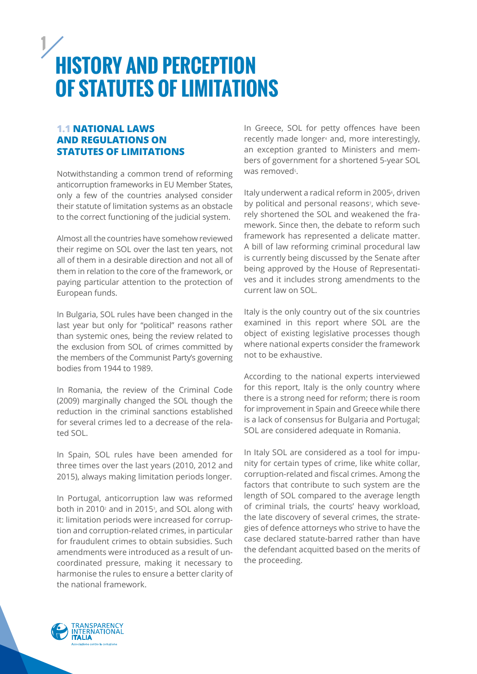# **HISTORY AND PERCEPTION OF STATUTES OF LIMITATIONS 1**

## **1.1 NATIONAL LAWS AND REGULATIONS ON STATUTES OF LIMITATIONS**

Notwithstanding a common trend of reforming anticorruption frameworks in EU Member States, only a few of the countries analysed consider their statute of limitation systems as an obstacle to the correct functioning of the judicial system.

Almost all the countries have somehow reviewed their regime on SOL over the last ten years, not all of them in a desirable direction and not all of them in relation to the core of the framework, or paying particular attention to the protection of European funds.

In Bulgaria, SOL rules have been changed in the last year but only for "political" reasons rather than systemic ones, being the review related to the exclusion from SOL of crimes committed by the members of the Communist Party's governing bodies from 1944 to 1989.

In Romania, the review of the Criminal Code (2009) marginally changed the SOL though the reduction in the criminal sanctions established for several crimes led to a decrease of the related SOL.

In Spain, SOL rules have been amended for three times over the last years (2010, 2012 and 2015), always making limitation periods longer.

In Portugal, anticorruption law was reformed both in 2010<sup>2</sup> and in 2015<sup>3</sup>, and SOL along with it: limitation periods were increased for corruption and corruption-related crimes, in particular for fraudulent crimes to obtain subsidies. Such amendments were introduced as a result of uncoordinated pressure, making it necessary to harmonise the rules to ensure a better clarity of the national framework.

In Greece, SOL for petty offences have been recently made longer<sup>4</sup> and, more interestingly, an exception granted to Ministers and members of government for a shortened 5-year SOL was removed<sup>5</sup>.

Italy underwent a radical reform in 2005<sup>6</sup>, driven by political and personal reasons<sup>7</sup>, which severely shortened the SOL and weakened the framework. Since then, the debate to reform such framework has represented a delicate matter. A bill of law reforming criminal procedural law is currently being discussed by the Senate after being approved by the House of Representatives and it includes strong amendments to the current law on SOL.

Italy is the only country out of the six countries examined in this report where SOL are the object of existing legislative processes though where national experts consider the framework not to be exhaustive.

According to the national experts interviewed for this report, Italy is the only country where there is a strong need for reform; there is room for improvement in Spain and Greece while there is a lack of consensus for Bulgaria and Portugal; SOL are considered adequate in Romania.

In Italy SOL are considered as a tool for impunity for certain types of crime, like white collar, corruption-related and fiscal crimes. Among the factors that contribute to such system are the length of SOL compared to the average length of criminal trials, the courts' heavy workload, the late discovery of several crimes, the strategies of defence attorneys who strive to have the case declared statute-barred rather than have the defendant acquitted based on the merits of the proceeding.

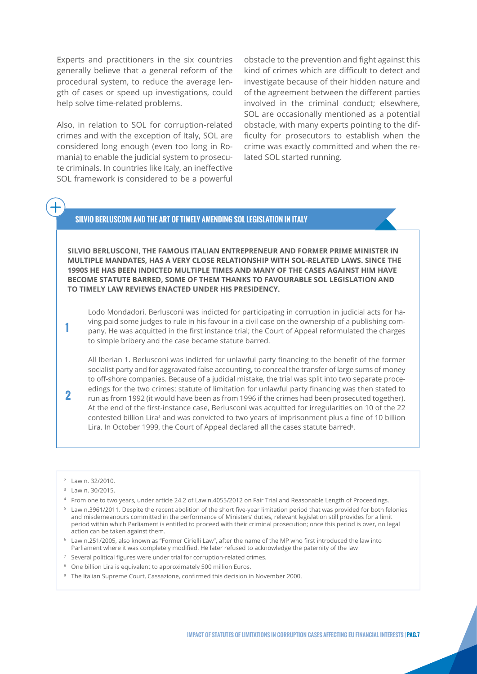Experts and practitioners in the six countries generally believe that a general reform of the procedural system, to reduce the average length of cases or speed up investigations, could help solve time-related problems.

Also, in relation to SOL for corruption-related crimes and with the exception of Italy, SOL are considered long enough (even too long in Romania) to enable the judicial system to prosecute criminals. In countries like Italy, an ineffective SOL framework is considered to be a powerful

obstacle to the prevention and fight against this kind of crimes which are difficult to detect and investigate because of their hidden nature and of the agreement between the different parties involved in the criminal conduct; elsewhere, SOL are occasionally mentioned as a potential obstacle, with many experts pointing to the difficulty for prosecutors to establish when the crime was exactly committed and when the related SOL started running.

### **SILVIO BERLUSCONI AND THE ART OF TIMELY AMENDING SOL LEGISLATION IN ITALY**

**SILVIO BERLUSCONI, THE FAMOUS ITALIAN ENTREPRENEUR AND FORMER PRIME MINISTER IN MULTIPLE MANDATES, HAS A VERY CLOSE RELATIONSHIP WITH SOL-RELATED LAWS. SINCE THE 1990S HE HAS BEEN INDICTED MULTIPLE TIMES AND MANY OF THE CASES AGAINST HIM HAVE BECOME STATUTE BARRED, SOME OF THEM THANKS TO FAVOURABLE SOL LEGISLATION AND TO TIMELY LAW REVIEWS ENACTED UNDER HIS PRESIDENCY.**

Lodo Mondadori. Berlusconi was indicted for participating in corruption in judicial acts for having paid some judges to rule in his favour in a civil case on the ownership of a publishing company. He was acquitted in the first instance trial; the Court of Appeal reformulated the charges to simple bribery and the case became statute barred.

All Iberian 1. Berlusconi was indicted for unlawful party financing to the benefit of the former socialist party and for aggravated false accounting, to conceal the transfer of large sums of money to off-shore companies. Because of a judicial mistake, the trial was split into two separate proceedings for the two crimes: statute of limitation for unlawful party financing was then stated to run as from 1992 (it would have been as from 1996 if the crimes had been prosecuted together). At the end of the first-instance case, Berlusconi was acquitted for irregularities on 10 of the 22 contested billion Lira<sup>8</sup> and was convicted to two years of imprisonment plus a fine of 10 billion Lira. In October 1999, the Court of Appeal declared all the cases statute barred<sup>9</sup>.

 $2$  Law n. 32/2010.

**1**

**2**

- $3$  Law n. 30/2015.
- <sup>4</sup> From one to two years, under article 24.2 of Law n.4055/2012 on Fair Trial and Reasonable Length of Proceedings.
- <sup>5</sup> Law n.3961/2011. Despite the recent abolition of the short five-year limitation period that was provided for both felonies and misdemeanours committed in the performance of Ministers' duties, relevant legislation still provides for a limit period within which Parliament is entitled to proceed with their criminal prosecution; once this period is over, no legal action can be taken against them.
- <sup>6</sup> Law n.251/2005, also known as "Former Cirielli Law", after the name of the MP who first introduced the law into Parliament where it was completely modified. He later refused to acknowledge the paternity of the law
- $7$  Several political figures were under trial for corruption-related crimes.
- <sup>8</sup> One billion Lira is equivalent to approximately 500 million Euros.
- <sup>9</sup> The Italian Supreme Court, Cassazione, confirmed this decision in November 2000.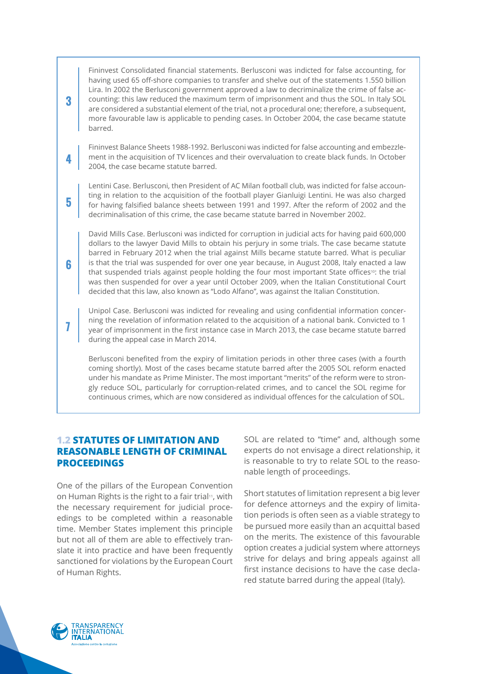Fininvest Consolidated financial statements. Berlusconi was indicted for false accounting, for having used 65 off-shore companies to transfer and shelve out of the statements 1.550 billion Lira. In 2002 the Berlusconi government approved a law to decriminalize the crime of false accounting: this law reduced the maximum term of imprisonment and thus the SOL. In Italy SOL are considered a substantial element of the trial, not a procedural one; therefore, a subsequent, more favourable law is applicable to pending cases. In October 2004, the case became statute barred.

Fininvest Balance Sheets 1988-1992. Berlusconi was indicted for false accounting and embezzlement in the acquisition of TV licences and their overvaluation to create black funds. In October 2004, the case became statute barred.

Lentini Case. Berlusconi, then President of AC Milan football club, was indicted for false accounting in relation to the acquisition of the football player Gianluigi Lentini. He was also charged for having falsified balance sheets between 1991 and 1997. After the reform of 2002 and the decriminalisation of this crime, the case became statute barred in November 2002.

David Mills Case. Berlusconi was indicted for corruption in judicial acts for having paid 600,000 dollars to the lawyer David Mills to obtain his perjury in some trials. The case became statute barred in February 2012 when the trial against Mills became statute barred. What is peculiar is that the trial was suspended for over one year because, in August 2008, Italy enacted a law that suspended trials against people holding the four most important State offices<sup>10</sup>: the trial was then suspended for over a year until October 2009, when the Italian Constitutional Court decided that this law, also known as "Lodo Alfano", was against the Italian Constitution.

Unipol Case. Berlusconi was indicted for revealing and using confidential information concerning the revelation of information related to the acquisition of a national bank. Convicted to 1 year of imprisonment in the first instance case in March 2013, the case became statute barred during the appeal case in March 2014.

Berlusconi benefited from the expiry of limitation periods in other three cases (with a fourth coming shortly). Most of the cases became statute barred after the 2005 SOL reform enacted under his mandate as Prime Minister. The most important "merits" of the reform were to strongly reduce SOL, particularly for corruption-related crimes, and to cancel the SOL regime for continuous crimes, which are now considered as individual offences for the calculation of SOL.

## **1.2 STATUTES OF LIMITATION AND REASONABLE LENGTH OF CRIMINAL PROCEEDINGS**

One of the pillars of the European Convention on Human Rights is the right to a fair trial<sup>11</sup>, with the necessary requirement for judicial proceedings to be completed within a reasonable time. Member States implement this principle but not all of them are able to effectively translate it into practice and have been frequently sanctioned for violations by the European Court of Human Rights.

SOL are related to "time" and, although some experts do not envisage a direct relationship, it is reasonable to try to relate SOL to the reasonable length of proceedings.

Short statutes of limitation represent a big lever for defence attorneys and the expiry of limitation periods is often seen as a viable strategy to be pursued more easily than an acquittal based on the merits. The existence of this favourable option creates a judicial system where attorneys strive for delays and bring appeals against all first instance decisions to have the case declared statute barred during the appeal (Italy).



**3**

**4**

**5**

**6**

**7**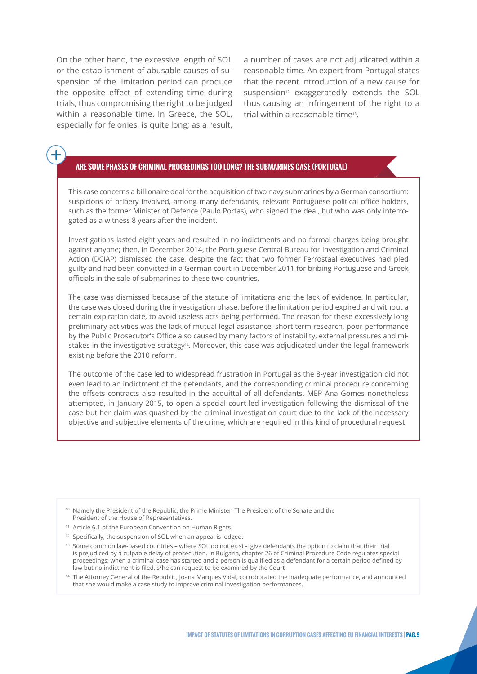On the other hand, the excessive length of SOL or the establishment of abusable causes of suspension of the limitation period can produce the opposite effect of extending time during trials, thus compromising the right to be judged within a reasonable time. In Greece, the SOL, especially for felonies, is quite long; as a result,

a number of cases are not adjudicated within a reasonable time. An expert from Portugal states that the recent introduction of a new cause for suspension<sup>12</sup> exaggeratedly extends the SOL thus causing an infringement of the right to a trial within a reasonable time13.

### **ARE SOME PHASES OF CRIMINAL PROCEEDINGS TOO LONG? THE SUBMARINES CASE (PORTUGAL)**

This case concerns a billionaire deal for the acquisition of two navy submarines by a German consortium: suspicions of bribery involved, among many defendants, relevant Portuguese political office holders, such as the former Minister of Defence (Paulo Portas), who signed the deal, but who was only interrogated as a witness 8 years after the incident.

Investigations lasted eight years and resulted in no indictments and no formal charges being brought against anyone; then, in December 2014, the Portuguese Central Bureau for Investigation and Criminal Action (DCIAP) dismissed the case, despite the fact that two former Ferrostaal executives had pled guilty and had been convicted in a German court in December 2011 for bribing Portuguese and Greek officials in the sale of submarines to these two countries.

The case was dismissed because of the statute of limitations and the lack of evidence. In particular, the case was closed during the investigation phase, before the limitation period expired and without a certain expiration date, to avoid useless acts being performed. The reason for these excessively long preliminary activities was the lack of mutual legal assistance, short term research, poor performance by the Public Prosecutor's Office also caused by many factors of instability, external pressures and mistakes in the investigative strategy<sup>14</sup>. Moreover, this case was adjudicated under the legal framework existing before the 2010 reform.

The outcome of the case led to widespread frustration in Portugal as the 8-year investigation did not even lead to an indictment of the defendants, and the corresponding criminal procedure concerning the offsets contracts also resulted in the acquittal of all defendants. MEP Ana Gomes nonetheless attempted, in January 2015, to open a special court-led investigation following the dismissal of the case but her claim was quashed by the criminal investigation court due to the lack of the necessary objective and subjective elements of the crime, which are required in this kind of procedural request.

<sup>12</sup> Specifically, the suspension of SOL when an appeal is lodged.

<sup>14</sup> The Attorney General of the Republic, Joana Marques Vidal, corroborated the inadequate performance, and announced that she would make a case study to improve criminal investigation performances.

<sup>&</sup>lt;sup>10</sup> Namely the President of the Republic, the Prime Minister, The President of the Senate and the President of the House of Representatives.

<sup>&</sup>lt;sup>11</sup> Article 6.1 of the European Convention on Human Rights.

<sup>&</sup>lt;sup>13</sup> Some common law-based countries – where SOL do not exist - give defendants the option to claim that their trial is prejudiced by a culpable delay of prosecution. In Bulgaria, chapter 26 of Criminal Procedure Code regulates special proceedings: when a criminal case has started and a person is qualified as a defendant for a certain period defined by law but no indictment is filed, s/he can request to be examined by the Court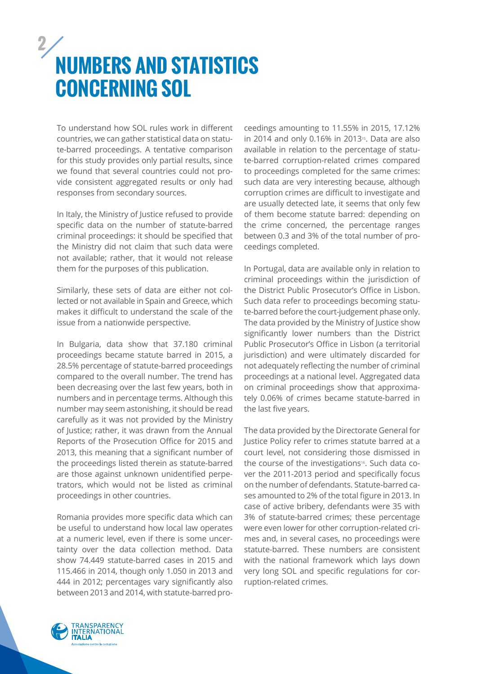# **NUMBERS AND STATISTICS CONCERNING SOL 2**

To understand how SOL rules work in different countries, we can gather statistical data on statute-barred proceedings. A tentative comparison for this study provides only partial results, since we found that several countries could not provide consistent aggregated results or only had responses from secondary sources.

In Italy, the Ministry of Justice refused to provide specific data on the number of statute-barred criminal proceedings: it should be specified that the Ministry did not claim that such data were not available; rather, that it would not release them for the purposes of this publication.

Similarly, these sets of data are either not collected or not available in Spain and Greece, which makes it difficult to understand the scale of the issue from a nationwide perspective.

In Bulgaria, data show that 37.180 criminal proceedings became statute barred in 2015, a 28.5% percentage of statute-barred proceedings compared to the overall number. The trend has been decreasing over the last few years, both in numbers and in percentage terms. Although this number may seem astonishing, it should be read carefully as it was not provided by the Ministry of Justice; rather, it was drawn from the Annual Reports of the Prosecution Office for 2015 and 2013, this meaning that a significant number of the proceedings listed therein as statute-barred are those against unknown unidentified perpetrators, which would not be listed as criminal proceedings in other countries.

Romania provides more specific data which can be useful to understand how local law operates at a numeric level, even if there is some uncertainty over the data collection method. Data show 74.449 statute-barred cases in 2015 and 115.466 in 2014, though only 1.050 in 2013 and 444 in 2012; percentages vary significantly also between 2013 and 2014, with statute-barred pro-

ceedings amounting to 11.55% in 2015, 17.12% in 2014 and only 0.16% in 2013 $15$ . Data are also available in relation to the percentage of statute-barred corruption-related crimes compared to proceedings completed for the same crimes: such data are very interesting because, although corruption crimes are difficult to investigate and are usually detected late, it seems that only few of them become statute barred: depending on the crime concerned, the percentage ranges between 0.3 and 3% of the total number of proceedings completed.

In Portugal, data are available only in relation to criminal proceedings within the jurisdiction of the District Public Prosecutor's Office in Lisbon. Such data refer to proceedings becoming statute-barred before the court-judgement phase only. The data provided by the Ministry of Justice show significantly lower numbers than the District Public Prosecutor's Office in Lisbon (a territorial jurisdiction) and were ultimately discarded for not adequately reflecting the number of criminal proceedings at a national level. Aggregated data on criminal proceedings show that approximately 0.06% of crimes became statute-barred in the last five years.

The data provided by the Directorate General for Justice Policy refer to crimes statute barred at a court level, not considering those dismissed in the course of the investigations<sup>16</sup>. Such data cover the 2011-2013 period and specifically focus on the number of defendants. Statute-barred cases amounted to 2% of the total figure in 2013. In case of active bribery, defendants were 35 with 3% of statute-barred crimes; these percentage were even lower for other corruption-related crimes and, in several cases, no proceedings were statute-barred. These numbers are consistent with the national framework which lays down very long SOL and specific regulations for corruption-related crimes.

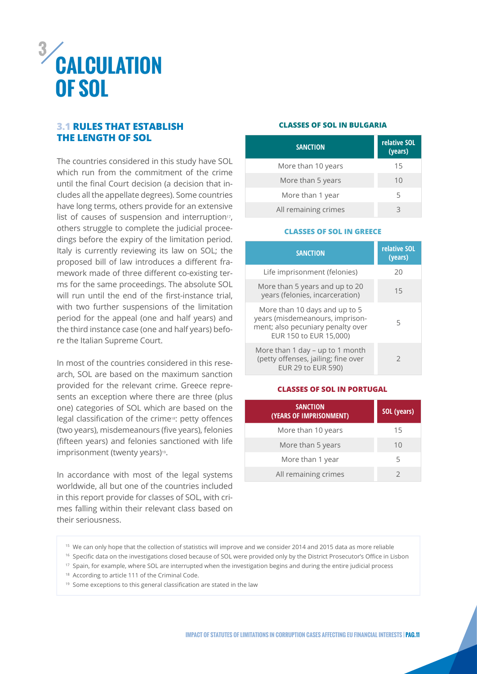

## **3.1 RULES THAT ESTABLISH THE LENGTH OF SOL**

The countries considered in this study have SOL which run from the commitment of the crime until the final Court decision (a decision that includes all the appellate degrees). Some countries have long terms, others provide for an extensive list of causes of suspension and interruption $\mathbb{I}^7$ , others struggle to complete the judicial proceedings before the expiry of the limitation period. Italy is currently reviewing its law on SOL; the proposed bill of law introduces a different framework made of three different co-existing terms for the same proceedings. The absolute SOL will run until the end of the first-instance trial. with two further suspensions of the limitation period for the appeal (one and half years) and the third instance case (one and half years) before the Italian Supreme Court.

In most of the countries considered in this research, SOL are based on the maximum sanction provided for the relevant crime. Greece represents an exception where there are three (plus one) categories of SOL which are based on the legal classification of the crime<sup>18</sup>: petty offences (two years), misdemeanours (five years), felonies (fifteen years) and felonies sanctioned with life imprisonment (twenty years)<sup>19</sup>.

In accordance with most of the legal systems worldwide, all but one of the countries included in this report provide for classes of SOL, with crimes falling within their relevant class based on their seriousness.

#### **CLASSES OF SOL IN BULGARIA**

| <b>SANCTION</b>      | relative SOL<br>(years) |
|----------------------|-------------------------|
| More than 10 years   | 15                      |
| More than 5 years    | 10                      |
| More than 1 year     | 5                       |
| All remaining crimes | -2                      |

#### **CLASSES OF SOL IN GREECE**

| <b>SANCTION</b>                                                                                                                 | <b>relative SOL</b><br>(years) |
|---------------------------------------------------------------------------------------------------------------------------------|--------------------------------|
| Life imprisonment (felonies)                                                                                                    | 20                             |
| More than 5 years and up to 20<br>years (felonies, incarceration)                                                               | 15                             |
| More than 10 days and up to 5<br>years (misdemeanours, imprison-<br>ment; also pecuniary penalty over<br>EUR 150 to EUR 15,000) | 5                              |
| More than 1 day - up to 1 month<br>(petty offenses, jailing; fine over<br>EUR 29 to EUR 590)                                    | $\mathcal{P}$                  |

### **CLASSES OF SOL IN PORTUGAL**

| <b>SANCTION</b><br>(YEARS OF IMPRISONMENT) | SOL (years) |
|--------------------------------------------|-------------|
| More than 10 years                         | 15          |
| More than 5 years                          | 10          |
| More than 1 year                           | 5           |
| All remaining crimes                       |             |

<sup>15</sup> We can only hope that the collection of statistics will improve and we consider 2014 and 2015 data as more reliable

<sup>16</sup> Specific data on the investigations closed because of SOL were provided only by the District Prosecutor's Office in Lisbon

<sup>17</sup> Spain, for example, where SOL are interrupted when the investigation begins and during the entire judicial process

- <sup>18</sup> According to article 111 of the Criminal Code.
- $19$  Some exceptions to this general classification are stated in the law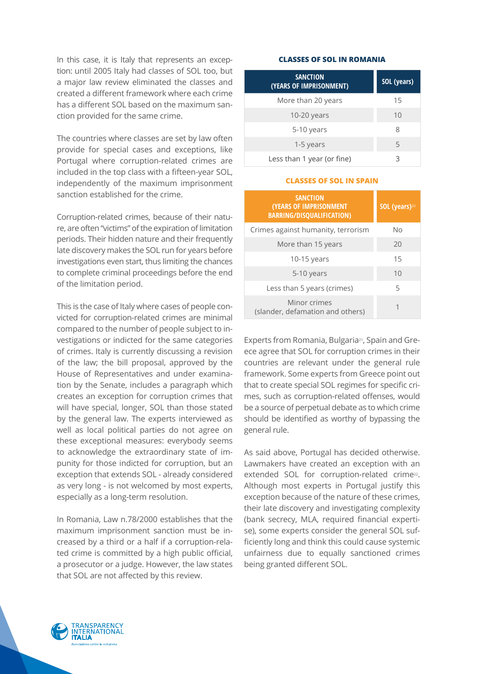In this case, it is Italy that represents an exception: until 2005 Italy had classes of SOL too, but a major law review eliminated the classes and created a different framework where each crime has a different SOL based on the maximum sanction provided for the same crime.

The countries where classes are set by law often provide for special cases and exceptions, like Portugal where corruption-related crimes are included in the top class with a fifteen-year SOL, independently of the maximum imprisonment sanction established for the crime.

Corruption-related crimes, because of their nature, are often "victims" of the expiration of limitation periods. Their hidden nature and their frequently late discovery makes the SOL run for years before investigations even start, thus limiting the chances to complete criminal proceedings before the end of the limitation period.

This is the case of Italy where cases of people convicted for corruption-related crimes are minimal compared to the number of people subject to investigations or indicted for the same categories of crimes. Italy is currently discussing a revision of the law; the bill proposal, approved by the House of Representatives and under examination by the Senate, includes a paragraph which creates an exception for corruption crimes that will have special, longer, SOL than those stated by the general law. The experts interviewed as well as local political parties do not agree on these exceptional measures: everybody seems to acknowledge the extraordinary state of impunity for those indicted for corruption, but an exception that extends SOL - already considered as very long - is not welcomed by most experts, especially as a long-term resolution.

In Romania, Law n.78/2000 establishes that the maximum imprisonment sanction must be increased by a third or a half if a corruption-related crime is committed by a high public official, a prosecutor or a judge. However, the law states that SOL are not affected by this review.

### **CLASSES OF SOL IN ROMANIA**

| <b>SANCTION</b><br>(YEARS OF IMPRISONMENT) | SOL (years) |
|--------------------------------------------|-------------|
| More than 20 years                         | 15          |
| $10-20$ years                              | 10          |
| 5-10 years                                 | 8           |
| 1-5 years                                  | 5           |
| Less than 1 year (or fine)                 |             |

### **CLASSES OF SOL IN SPAIN**

| <b>SANCTION</b><br><b>(YEARS OF IMPRISONMENT</b><br><b>BARRING/DISQUALIFICATION)</b> | SOL (years) <sup>20</sup> |
|--------------------------------------------------------------------------------------|---------------------------|
| Crimes against humanity, terrorism                                                   | <b>No</b>                 |
| More than 15 years                                                                   | 20                        |
| $10-15$ years                                                                        | 15                        |
| 5-10 years                                                                           | 10                        |
| Less than 5 years (crimes)                                                           | 5                         |
| Minor crimes<br>(slander, defamation and others)                                     |                           |

Experts from Romania, Bulgaria<sup>21</sup>, Spain and Greece agree that SOL for corruption crimes in their countries are relevant under the general rule framework. Some experts from Greece point out that to create special SOL regimes for specific crimes, such as corruption-related offenses, would be a source of perpetual debate as to which crime should be identified as worthy of bypassing the general rule.

As said above, Portugal has decided otherwise. Lawmakers have created an exception with an extended SOL for corruption-related crime<sup>22</sup>. Although most experts in Portugal justify this exception because of the nature of these crimes, their late discovery and investigating complexity (bank secrecy, MLA, required financial expertise), some experts consider the general SOL sufficiently long and think this could cause systemic unfairness due to equally sanctioned crimes being granted different SOL.

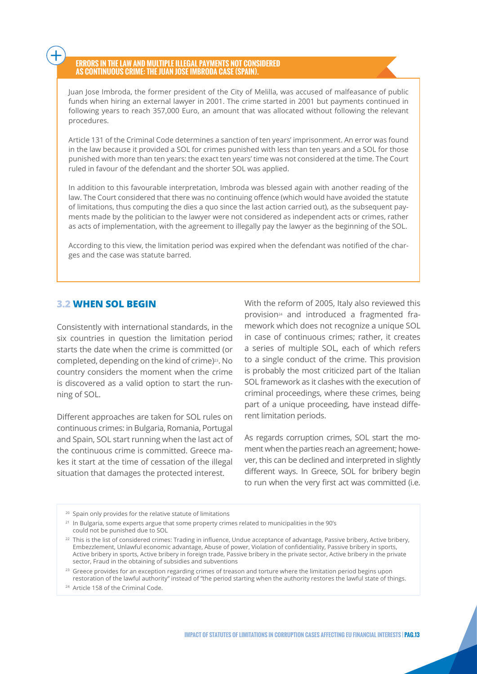### **ERRORS IN THE LAW AND MULTIPLE ILLEGAL PAYMENTS NOT CONSIDERED AS CONTINUOUS CRIME: THE JUAN JOSE IMBRODA CASE (SPAIN).**

Juan Jose Imbroda, the former president of the City of Melilla, was accused of malfeasance of public funds when hiring an external lawyer in 2001. The crime started in 2001 but payments continued in following years to reach 357,000 Euro, an amount that was allocated without following the relevant procedures.

Article 131 of the Criminal Code determines a sanction of ten years' imprisonment. An error was found in the law because it provided a SOL for crimes punished with less than ten years and a SOL for those punished with more than ten years: the exact ten years' time was not considered at the time. The Court ruled in favour of the defendant and the shorter SOL was applied.

In addition to this favourable interpretation, Imbroda was blessed again with another reading of the law. The Court considered that there was no continuing offence (which would have avoided the statute of limitations, thus computing the dies a quo since the last action carried out), as the subsequent payments made by the politician to the lawyer were not considered as independent acts or crimes, rather as acts of implementation, with the agreement to illegally pay the lawyer as the beginning of the SOL.

According to this view, the limitation period was expired when the defendant was notified of the charges and the case was statute barred.

### **3.2 WHEN SOL BEGIN**

Consistently with international standards, in the six countries in question the limitation period starts the date when the crime is committed (or completed, depending on the kind of crime)23. No country considers the moment when the crime is discovered as a valid option to start the running of SOL.

Different approaches are taken for SOL rules on continuous crimes: in Bulgaria, Romania, Portugal and Spain, SOL start running when the last act of the continuous crime is committed. Greece makes it start at the time of cessation of the illegal situation that damages the protected interest.

With the reform of 2005, Italy also reviewed this provision<sup>24</sup> and introduced a fragmented framework which does not recognize a unique SOL in case of continuous crimes; rather, it creates a series of multiple SOL, each of which refers to a single conduct of the crime. This provision is probably the most criticized part of the Italian SOL framework as it clashes with the execution of criminal proceedings, where these crimes, being part of a unique proceeding, have instead different limitation periods.

As regards corruption crimes, SOL start the moment when the parties reach an agreement; however, this can be declined and interpreted in slightly different ways. In Greece, SOL for bribery begin to run when the very first act was committed (i.e.

<sup>&</sup>lt;sup>20</sup> Spain only provides for the relative statute of limitations

<sup>&</sup>lt;sup>21</sup> In Bulgaria, some experts argue that some property crimes related to municipalities in the 90's could not be punished due to SOL

<sup>&</sup>lt;sup>22</sup> This is the list of considered crimes: Trading in influence, Undue acceptance of advantage, Passive bribery, Active bribery, Embezzlement, Unlawful economic advantage, Abuse of power, Violation of confidentiality, Passive bribery in sports, Active bribery in sports, Active bribery in foreign trade, Passive bribery in the private sector, Active bribery in the private sector, Fraud in the obtaining of subsidies and subventions

<sup>&</sup>lt;sup>23</sup> Greece provides for an exception regarding crimes of treason and torture where the limitation period begins upon restoration of the lawful authority" instead of "the period starting when the authority restores the lawful state of things.

<sup>&</sup>lt;sup>24</sup> Article 158 of the Criminal Code.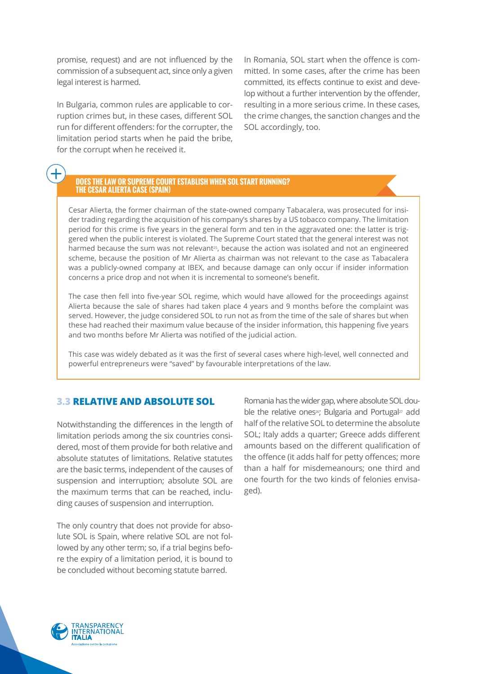promise, request) and are not influenced by the commission of a subsequent act, since only a given legal interest is harmed.

In Bulgaria, common rules are applicable to corruption crimes but, in these cases, different SOL run for different offenders: for the corrupter, the limitation period starts when he paid the bribe, for the corrupt when he received it.

In Romania, SOL start when the offence is committed. In some cases, after the crime has been committed, its effects continue to exist and develop without a further intervention by the offender, resulting in a more serious crime. In these cases, the crime changes, the sanction changes and the SOL accordingly, too.

### **DOES THE LAW OR SUPREME COURT ESTABLISH WHEN SOL START RUNNING? THE CESAR ALIERTA CASE (SPAIN)**

Cesar Alierta, the former chairman of the state-owned company Tabacalera, was prosecuted for insider trading regarding the acquisition of his company's shares by a US tobacco company. The limitation period for this crime is five years in the general form and ten in the aggravated one: the latter is triggered when the public interest is violated. The Supreme Court stated that the general interest was not harmed because the sum was not relevant<sup>25</sup>, because the action was isolated and not an engineered scheme, because the position of Mr Alierta as chairman was not relevant to the case as Tabacalera was a publicly-owned company at IBEX, and because damage can only occur if insider information concerns a price drop and not when it is incremental to someone's benefit.

The case then fell into five-year SOL regime, which would have allowed for the proceedings against Alierta because the sale of shares had taken place 4 years and 9 months before the complaint was served. However, the judge considered SOL to run not as from the time of the sale of shares but when these had reached their maximum value because of the insider information, this happening five years and two months before Mr Alierta was notified of the judicial action.

This case was widely debated as it was the first of several cases where high-level, well connected and powerful entrepreneurs were "saved" by favourable interpretations of the law.

## **3.3 RELATIVE AND ABSOLUTE SOL**

Notwithstanding the differences in the length of limitation periods among the six countries considered, most of them provide for both relative and absolute statutes of limitations. Relative statutes are the basic terms, independent of the causes of suspension and interruption; absolute SOL are the maximum terms that can be reached, including causes of suspension and interruption.

The only country that does not provide for absolute SOL is Spain, where relative SOL are not followed by any other term; so, if a trial begins before the expiry of a limitation period, it is bound to be concluded without becoming statute barred.

Romania has the wider gap, where absolute SOL double the relative ones<sup>26</sup>; Bulgaria and Portugal<sup>27</sup> add half of the relative SOL to determine the absolute SOL; Italy adds a quarter; Greece adds different amounts based on the different qualification of the offence (it adds half for petty offences; more than a half for misdemeanours; one third and one fourth for the two kinds of felonies envisaged).

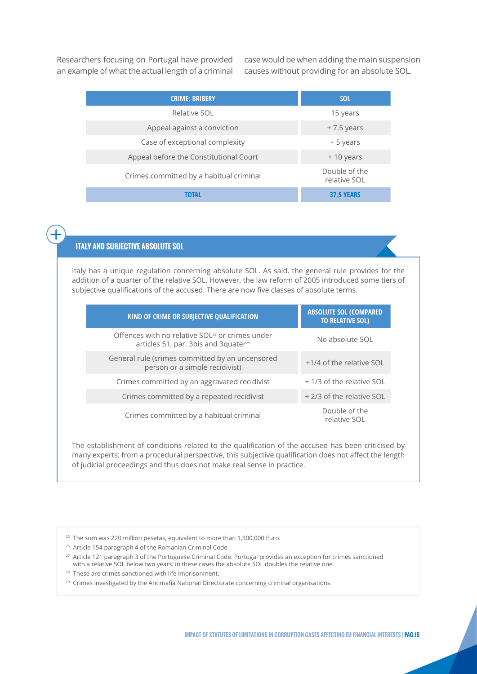Researchers focusing on Portugal have provided an example of what the actual length of a criminal

case would be when adding the main suspension causes without providing for an absolute SOL.

| <b>CRIME: BRIBERY</b>                   | <b>SOL</b>                    |
|-----------------------------------------|-------------------------------|
| Relative SOL                            | 15 years                      |
| Appeal against a conviction             | $+7.5$ years                  |
| Case of exceptional complexity          | +5 years                      |
| Appeal before the Constitutional Court  | +10 years                     |
| Crimes committed by a habitual criminal | Double of the<br>relative SOL |
| ГОТАІ                                   | <b>37.5 YEARS</b>             |

## **ITALY AND SUBJECTIVE ABSOLUTE SOL**

Italy has a unique regulation concerning absolute SOL. As said, the general rule provides for the addition of a quarter of the relative SOL. However, the law reform of 2005 introduced some tiers of subjective qualifications of the accused. There are now five classes of absolute terms.

| KIND OF CRIME OR SUBJECTIVE QUALIFICATION                                                                       | <b>ABSOLUTE SOL (COMPARED)</b><br><b>TO RELATIVE SOL)</b> |
|-----------------------------------------------------------------------------------------------------------------|-----------------------------------------------------------|
| Offences with no relative SOL <sup>28</sup> or crimes under<br>articles 51, par. 3bis and 3quater <sup>29</sup> | No absolute SOL                                           |
| General rule (crimes committed by an uncensored<br>person or a simple recidivist)                               | +1/4 of the relative SOL                                  |
| Crimes committed by an aggravated recidivist                                                                    | +1/3 of the relative SOL                                  |
| Crimes committed by a repeated recidivist                                                                       | + 2/3 of the relative SOL                                 |
| Crimes committed by a habitual criminal                                                                         | Double of the<br>relative SOL                             |

The establishment of conditions related to the qualification of the accused has been criticised by many experts: from a procedural perspective, this subjective qualification does not affect the length of judicial proceedings and thus does not make real sense in practice.

- <sup>25</sup> The sum was 220 million pesetas, equivalent to more than 1,300,000 Euro.
- <sup>26</sup> Article 154 paragraph 4 of the Romanian Criminal Code
- <sup>27</sup> Article 121 paragraph 3 of the Portuguese Criminal Code. Portugal provides an exception for crimes sanctioned with a relative SOL below two years: in these cases the absolute SOL doubles the relative one.
- <sup>28</sup> These are crimes sanctioned with life imprisonment.
- <sup>29</sup> Crimes investigated by the Antimafia National Directorate concerning criminal organisations.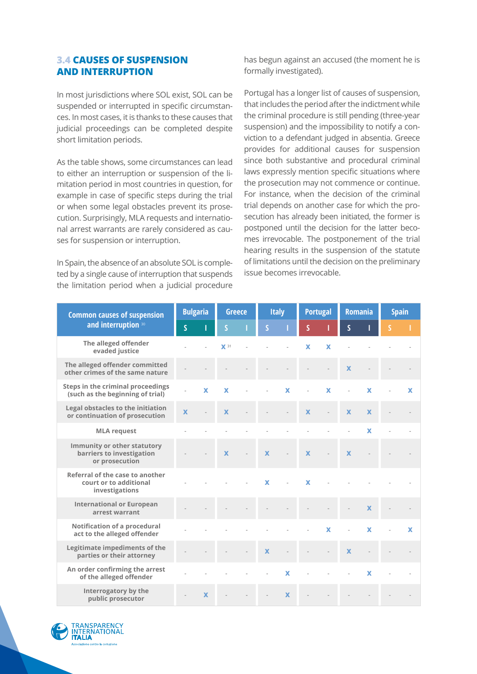## **3.4 CAUSES OF SUSPENSION AND INTERRUPTION**

In most jurisdictions where SOL exist, SOL can be suspended or interrupted in specific circumstances. In most cases, it is thanks to these causes that judicial proceedings can be completed despite short limitation periods.

As the table shows, some circumstances can lead to either an interruption or suspension of the limitation period in most countries in question, for example in case of specific steps during the trial or when some legal obstacles prevent its prosecution. Surprisingly, MLA requests and international arrest warrants are rarely considered as causes for suspension or interruption.

In Spain, the absence of an absolute SOL is completed by a single cause of interruption that suspends the limitation period when a judicial procedure

has begun against an accused (the moment he is formally investigated).

Portugal has a longer list of causes of suspension, that includes the period after the indictment while the criminal procedure is still pending (three-year suspension) and the impossibility to notify a conviction to a defendant judged in absentia. Greece provides for additional causes for suspension since both substantive and procedural criminal laws expressly mention specific situations where the prosecution may not commence or continue. For instance, when the decision of the criminal trial depends on another case for which the prosecution has already been initiated, the former is postponed until the decision for the latter becomes irrevocable. The postponement of the trial hearing results in the suspension of the statute of limitations until the decision on the preliminary issue becomes irrevocable.

| <b>Common causes of suspension</b>                                           | <b>Bulgaria</b> |              | <b>Greece</b> |  | <b>Italy</b>            |              | <b>Portugal</b> |             | <b>Romania</b> |             | <b>Spain</b> |             |
|------------------------------------------------------------------------------|-----------------|--------------|---------------|--|-------------------------|--------------|-----------------|-------------|----------------|-------------|--------------|-------------|
| and interruption 30                                                          | $\mathsf S$     |              | S             |  | $\overline{\mathsf{S}}$ |              | S               |             | $\mathsf{S}$   | П           | S            |             |
| The alleged offender<br>evaded justice                                       |                 |              | $X$ 31        |  |                         |              | $\mathbf x$     | X           |                |             |              |             |
| The alleged offender committed<br>other crimes of the same nature            |                 |              |               |  |                         |              |                 |             | $\mathbf x$    |             |              |             |
| <b>Steps in the criminal proceedings</b><br>(such as the beginning of trial) |                 | $\mathbf x$  | $\mathbf x$   |  |                         | $\mathbf x$  | L.              | $\mathbf x$ |                | $\mathbf x$ |              | $\mathbf x$ |
| Legal obstacles to the initiation<br>or continuation of prosecution          | $\mathbf x$     |              | $\mathbf{x}$  |  |                         |              | $\mathbf x$     |             | $\mathbf{x}$   | $\mathbf x$ |              |             |
| <b>MLA</b> request                                                           |                 |              |               |  |                         |              |                 |             |                | $\mathbf x$ |              |             |
| Immunity or other statutory<br>barriers to investigation<br>or prosecution   |                 |              | $\mathbf{x}$  |  | $\mathbf{x}$            |              | $\mathbf{x}$    |             | $\mathbf x$    |             |              |             |
| Referral of the case to another<br>court or to additional<br>investigations  |                 |              |               |  | $\mathbf{x}$            | L.           | $\mathbf{x}$    |             |                |             |              |             |
| <b>International or European</b><br>arrest warrant                           |                 |              |               |  |                         |              |                 |             |                | $\mathbf x$ |              |             |
| Notification of a procedural<br>act to the alleged offender                  |                 |              |               |  |                         |              |                 | $\mathbf x$ |                | $\mathbf x$ |              | $\mathbf x$ |
| Legitimate impediments of the<br>parties or their attorney                   |                 |              |               |  | $\mathbf x$             |              |                 |             | $\mathbf x$    |             |              |             |
| An order confirming the arrest<br>of the alleged offender                    |                 |              |               |  |                         | $\mathbf{x}$ |                 |             |                | ×           |              |             |
| Interrogatory by the<br>public prosecutor                                    |                 | $\mathbf{x}$ |               |  |                         | $\mathbf x$  |                 |             |                |             |              |             |

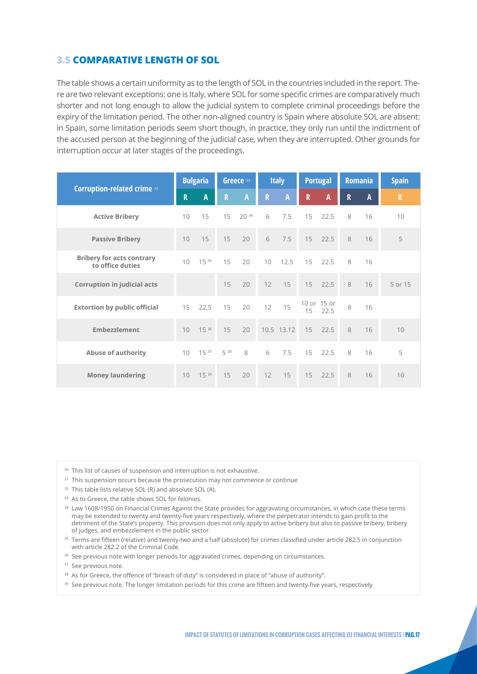## **3.5 COMPARATIVE LENGTH OF SOL**

The table shows a certain uniformity as to the length of SOL in the countries included in the report. There are two relevant exceptions: one is Italy, where SOL for some specific crimes are comparatively much shorter and not long enough to allow the judicial system to complete criminal proceedings before the expiry of the limitation period. The other non-aligned country is Spain where absolute SOL are absent: in Spain, some limitation periods seem short though, in practice, they only run until the indictment of the accused person at the beginning of the judicial case, when they are interrupted. Other grounds for interruption occur at later stages of the proceedings.

|                                                      | <b>Bulgaria</b> |                |      |                  | <b>Italy</b><br>Greece 33 |                | <b>Portugal</b> |                     | <b>Romania</b> |    | <b>Spain</b> |
|------------------------------------------------------|-----------------|----------------|------|------------------|---------------------------|----------------|-----------------|---------------------|----------------|----|--------------|
| Corruption-related crime 32                          | $\mathsf{R}$    | $\overline{A}$ | R    | $\overline{A}$   | $\mathsf{R}$              | $\overline{A}$ | R               | A                   | R              | A  | $\mathbf R$  |
| <b>Active Bribery</b>                                | 10              | 15             | 15   | 20 <sup>34</sup> | 6                         | 7.5            | 15              | 22.5                | 8              | 16 | 10           |
| <b>Passive Bribery</b>                               | 10              | 15             | 15   | 20               | 6                         | 7.5            | 15              | 22.5                | 8              | 16 | 5            |
| <b>Bribery for acts contrary</b><br>to office duties | 10 <sup>°</sup> | $15^{35}$      | 15   | 20               | 10                        | 12.5           | 15              | 22.5                | 8              | 16 |              |
| <b>Corruption in judicial acts</b>                   |                 |                | 15   | 20               | 12                        | 15             | 15              | 22.5                | 8              | 16 | 5 or 15      |
| <b>Extortion by public official</b>                  | 15              | 22,5           | 15   | 20               | 12                        | 15             | 15              | 10 or 15 or<br>22.5 | 8              | 16 |              |
| <b>Embezzlement</b>                                  | 10              | 15 36          | 15   | 20               |                           | 10.5 13.12     | 15              | 22.5                | 8              | 16 | 10           |
| <b>Abuse of authority</b>                            | 10              | 15 37          | 5 38 | 8                | 6                         | 7.5            | 15              | 22.5                | 8              | 16 | 5            |
| <b>Money laundering</b>                              | 10              | $15^{39}$      | 15   | 20               | 12                        | 15             | 15              | 22.5                | 8              | 16 | 10           |

- <sup>30</sup> This list of causes of suspension and interruption is not exhaustive.
- <sup>31</sup> This suspension occurs because the prosecution may not commence or continue
- <sup>32</sup> This table lists relative SOL (R) and absolute SOL (A).
- <sup>33</sup> As to Greece, the table shows SOL for felonies.
- 34 Law 1608/1950 on Financial Crimes Against the State provides for aggravating circumstances, in which case these terms may be extended to twenty and twenty-five years respectively, where the perpetrator intends to gain profit to the detriment of the State's property. This provision does not only apply to active bribery but also to passive bribery, bribery of judges, and embezzlement in the public sector.
- <sup>35</sup> Terms are fifteen (relative) and twenty-two and a half (absolute) for crimes classified under article 282.5 in conjunction with article 282.2 of the Criminal Code.
- <sup>36</sup> See previous note with longer periods for aggravated crimes, depending on circumstances.
- <sup>37</sup> See previous note.
- <sup>38</sup> As for Greece, the offence of "breach of duty" is considered in place of "abuse of authority".
- <sup>39</sup> See previous note. The longer limitation periods for this crime are fifteen and twenty-five years, respectively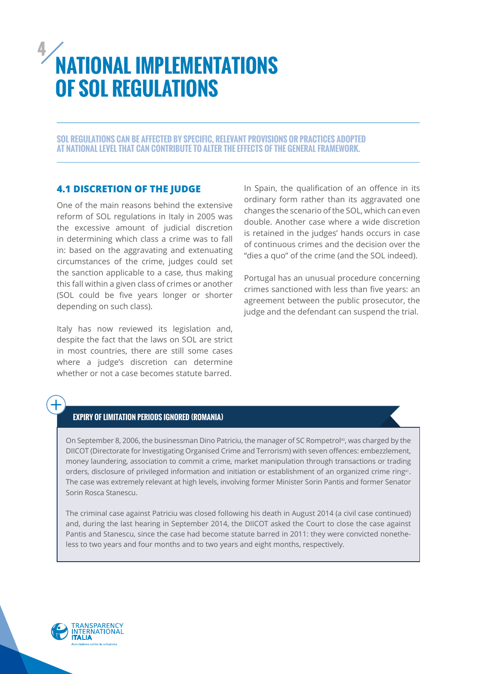## **4 NATIONAL IMPLEMENTATIONS OF SOL REGULATIONS**

**SOL REGULATIONS CAN BE AFFECTED BY SPECIFIC, RELEVANT PROVISIONS OR PRACTICES ADOPTED AT NATIONAL LEVEL THAT CAN CONTRIBUTE TO ALTER THE EFFECTS OF THE GENERAL FRAMEWORK.**

## **4.1 DISCRETION OF THE JUDGE**

One of the main reasons behind the extensive reform of SOL regulations in Italy in 2005 was the excessive amount of judicial discretion in determining which class a crime was to fall in: based on the aggravating and extenuating circumstances of the crime, judges could set the sanction applicable to a case, thus making this fall within a given class of crimes or another (SOL could be five years longer or shorter depending on such class).

Italy has now reviewed its legislation and, despite the fact that the laws on SOL are strict in most countries, there are still some cases where a judge's discretion can determine whether or not a case becomes statute barred.

In Spain, the qualification of an offence in its ordinary form rather than its aggravated one changes the scenario of the SOL, which can even double. Another case where a wide discretion is retained in the judges' hands occurs in case of continuous crimes and the decision over the "dies a quo" of the crime (and the SOL indeed).

Portugal has an unusual procedure concerning crimes sanctioned with less than five years: an agreement between the public prosecutor, the judge and the defendant can suspend the trial.

### **EXPIRY OF LIMITATION PERIODS IGNORED (ROMANIA)**

On September 8, 2006, the businessman Dino Patriciu, the manager of SC Rompetrol<sup>40</sup>, was charged by the DIICOT (Directorate for Investigating Organised Crime and Terrorism) with seven offences: embezzlement, money laundering, association to commit a crime, market manipulation through transactions or trading orders, disclosure of privileged information and initiation or establishment of an organized crime ring41. The case was extremely relevant at high levels, involving former Minister Sorin Pantis and former Senator Sorin Rosca Stanescu.

The criminal case against Patriciu was closed following his death in August 2014 (a civil case continued) and, during the last hearing in September 2014, the DIICOT asked the Court to close the case against Pantis and Stanescu, since the case had become statute barred in 2011: they were convicted nonetheless to two years and four months and to two years and eight months, respectively.

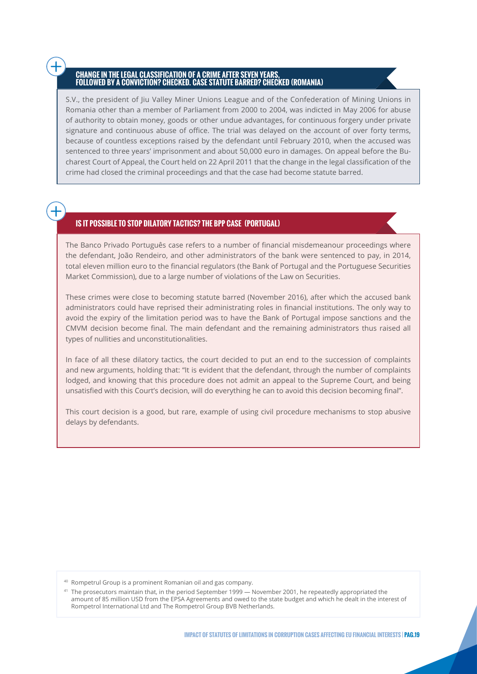### **CHANGE IN THE LEGAL CLASSIFICATION OF A CRIME AFTER SEVEN YEARS, FOLLOWED BY A CONVICTION? CHECKED. CASE STATUTE BARRED? CHECKED (ROMANIA)**

S.V., the president of Jiu Valley Miner Unions League and of the Confederation of Mining Unions in Romania other than a member of Parliament from 2000 to 2004, was indicted in May 2006 for abuse of authority to obtain money, goods or other undue advantages, for continuous forgery under private signature and continuous abuse of office. The trial was delayed on the account of over forty terms, because of countless exceptions raised by the defendant until February 2010, when the accused was sentenced to three years' imprisonment and about 50,000 euro in damages. On appeal before the Bucharest Court of Appeal, the Court held on 22 April 2011 that the change in the legal classification of the crime had closed the criminal proceedings and that the case had become statute barred.

## **IS IT POSSIBLE TO STOP DILATORY TACTICS? THE BPP CASE (PORTUGAL)**

The Banco Privado Português case refers to a number of financial misdemeanour proceedings where the defendant, João Rendeiro, and other administrators of the bank were sentenced to pay, in 2014, total eleven million euro to the financial regulators (the Bank of Portugal and the Portuguese Securities Market Commission), due to a large number of violations of the Law on Securities.

These crimes were close to becoming statute barred (November 2016), after which the accused bank administrators could have reprised their administrating roles in financial institutions. The only way to avoid the expiry of the limitation period was to have the Bank of Portugal impose sanctions and the CMVM decision become final. The main defendant and the remaining administrators thus raised all types of nullities and unconstitutionalities.

In face of all these dilatory tactics, the court decided to put an end to the succession of complaints and new arguments, holding that: "It is evident that the defendant, through the number of complaints lodged, and knowing that this procedure does not admit an appeal to the Supreme Court, and being unsatisfied with this Court's decision, will do everything he can to avoid this decision becoming final".

This court decision is a good, but rare, example of using civil procedure mechanisms to stop abusive delays by defendants.

<sup>40</sup> Rompetrul Group is a prominent Romanian oil and gas company.

<sup>&</sup>lt;sup>41</sup> The prosecutors maintain that, in the period September 1999 — November 2001, he repeatedly appropriated the amount of 85 million USD from the EPSA Agreements and owed to the state budget and which he dealt in the interest of Rompetrol International Ltd and The Rompetrol Group BVB Netherlands.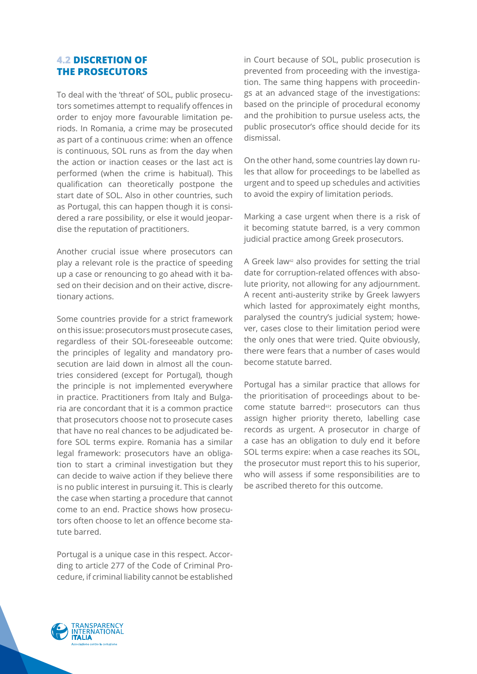## **4.2 DISCRETION OF THE PROSECUTORS**

To deal with the 'threat' of SOL, public prosecutors sometimes attempt to requalify offences in order to enjoy more favourable limitation periods. In Romania, a crime may be prosecuted as part of a continuous crime: when an offence is continuous, SOL runs as from the day when the action or inaction ceases or the last act is performed (when the crime is habitual). This qualification can theoretically postpone the start date of SOL. Also in other countries, such as Portugal, this can happen though it is considered a rare possibility, or else it would jeopardise the reputation of practitioners.

Another crucial issue where prosecutors can play a relevant role is the practice of speeding up a case or renouncing to go ahead with it based on their decision and on their active, discretionary actions.

Some countries provide for a strict framework on this issue: prosecutors must prosecute cases, regardless of their SOL-foreseeable outcome: the principles of legality and mandatory prosecution are laid down in almost all the countries considered (except for Portugal), though the principle is not implemented everywhere in practice. Practitioners from Italy and Bulgaria are concordant that it is a common practice that prosecutors choose not to prosecute cases that have no real chances to be adjudicated before SOL terms expire. Romania has a similar legal framework: prosecutors have an obligation to start a criminal investigation but they can decide to waive action if they believe there is no public interest in pursuing it. This is clearly the case when starting a procedure that cannot come to an end. Practice shows how prosecutors often choose to let an offence become statute barred.

Portugal is a unique case in this respect. According to article 277 of the Code of Criminal Procedure, if criminal liability cannot be established in Court because of SOL, public prosecution is prevented from proceeding with the investigation. The same thing happens with proceedings at an advanced stage of the investigations: based on the principle of procedural economy and the prohibition to pursue useless acts, the public prosecutor's office should decide for its dismissal.

On the other hand, some countries lay down rules that allow for proceedings to be labelled as urgent and to speed up schedules and activities to avoid the expiry of limitation periods.

Marking a case urgent when there is a risk of it becoming statute barred, is a very common judicial practice among Greek prosecutors.

A Greek law<sup>42</sup> also provides for setting the trial date for corruption-related offences with absolute priority, not allowing for any adjournment. A recent anti-austerity strike by Greek lawyers which lasted for approximately eight months, paralysed the country's judicial system; however, cases close to their limitation period were the only ones that were tried. Quite obviously, there were fears that a number of cases would become statute barred.

Portugal has a similar practice that allows for the prioritisation of proceedings about to become statute barred<sup>43</sup>: prosecutors can thus assign higher priority thereto, labelling case records as urgent. A prosecutor in charge of a case has an obligation to duly end it before SOL terms expire: when a case reaches its SOL, the prosecutor must report this to his superior, who will assess if some responsibilities are to be ascribed thereto for this outcome.

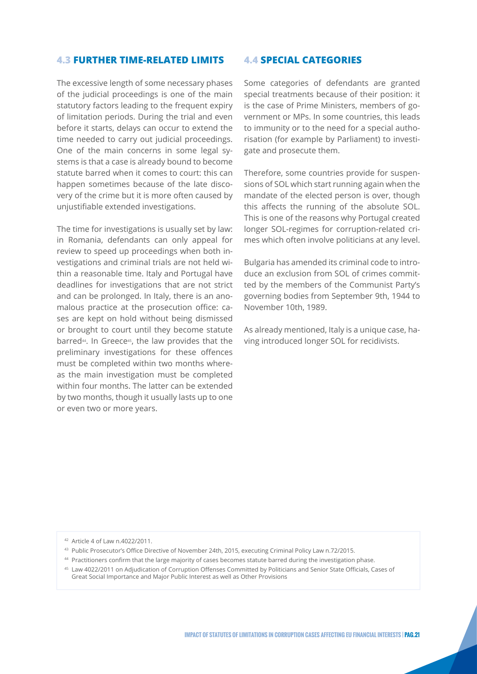### **4.3 FURTHER TIME-RELATED LIMITS**

The excessive length of some necessary phases of the judicial proceedings is one of the main statutory factors leading to the frequent expiry of limitation periods. During the trial and even before it starts, delays can occur to extend the time needed to carry out judicial proceedings. One of the main concerns in some legal systems is that a case is already bound to become statute barred when it comes to court: this can happen sometimes because of the late discovery of the crime but it is more often caused by unjustifiable extended investigations.

The time for investigations is usually set by law: in Romania, defendants can only appeal for review to speed up proceedings when both investigations and criminal trials are not held within a reasonable time. Italy and Portugal have deadlines for investigations that are not strict and can be prolonged. In Italy, there is an anomalous practice at the prosecution office: cases are kept on hold without being dismissed or brought to court until they become statute barred<sup>44</sup>. In Greece<sup>45</sup>, the law provides that the preliminary investigations for these offences must be completed within two months whereas the main investigation must be completed within four months. The latter can be extended by two months, though it usually lasts up to one or even two or more years.

### **4.4 SPECIAL CATEGORIES**

Some categories of defendants are granted special treatments because of their position: it is the case of Prime Ministers, members of government or MPs. In some countries, this leads to immunity or to the need for a special authorisation (for example by Parliament) to investigate and prosecute them.

Therefore, some countries provide for suspensions of SOL which start running again when the mandate of the elected person is over, though this affects the running of the absolute SOL. This is one of the reasons why Portugal created longer SOL-regimes for corruption-related crimes which often involve politicians at any level.

Bulgaria has amended its criminal code to introduce an exclusion from SOL of crimes committed by the members of the Communist Party's governing bodies from September 9th, 1944 to November 10th, 1989.

As already mentioned, Italy is a unique case, having introduced longer SOL for recidivists.

- <sup>42</sup> Article 4 of Law n.4022/2011.
- <sup>43</sup> Public Prosecutor's Office Directive of November 24th, 2015, executing Criminal Policy Law n.72/2015.
- 44 Practitioners confirm that the large majority of cases becomes statute barred during the investigation phase.
- <sup>45</sup> Law 4022/2011 on Adjudication of Corruption Offenses Committed by Politicians and Senior State Officials, Cases of Great Social Importance and Major Public Interest as well as Other Provisions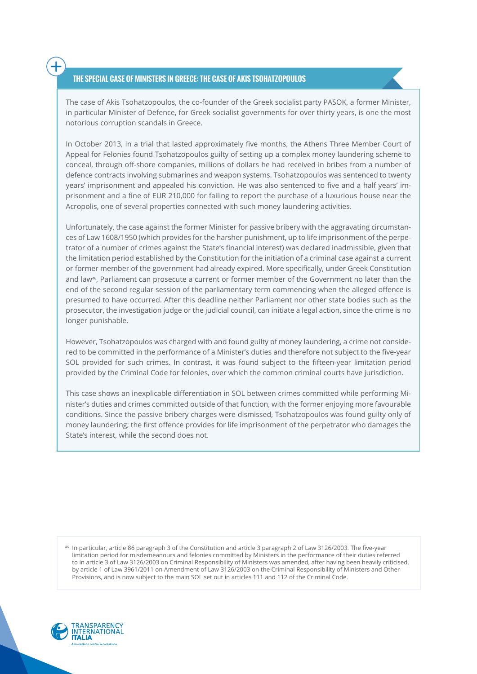### **THE SPECIAL CASE OF MINISTERS IN GREECE: THE CASE OF AKIS TSOHATZOPOULOS**

The case of Akis Tsohatzopoulos, the co-founder of the Greek socialist party PASOK, a former Minister, in particular Minister of Defence, for Greek socialist governments for over thirty years, is one the most notorious corruption scandals in Greece.

In October 2013, in a trial that lasted approximately five months, the Athens Three Member Court of Appeal for Felonies found Tsohatzopoulos guilty of setting up a complex money laundering scheme to conceal, through off-shore companies, millions of dollars he had received in bribes from a number of defence contracts involving submarines and weapon systems. Tsohatzopoulos was sentenced to twenty years' imprisonment and appealed his conviction. He was also sentenced to five and a half years' imprisonment and a fine of EUR 210,000 for failing to report the purchase of a luxurious house near the Acropolis, one of several properties connected with such money laundering activities.

Unfortunately, the case against the former Minister for passive bribery with the aggravating circumstances of Law 1608/1950 (which provides for the harsher punishment, up to life imprisonment of the perpetrator of a number of crimes against the State's financial interest) was declared inadmissible, given that the limitation period established by the Constitution for the initiation of a criminal case against a current or former member of the government had already expired. More specifically, under Greek Constitution and law<sup>46</sup>, Parliament can prosecute a current or former member of the Government no later than the end of the second regular session of the parliamentary term commencing when the alleged offence is presumed to have occurred. After this deadline neither Parliament nor other state bodies such as the prosecutor, the investigation judge or the judicial council, can initiate a legal action, since the crime is no longer punishable.

However, Tsohatzopoulos was charged with and found guilty of money laundering, a crime not considered to be committed in the performance of a Minister's duties and therefore not subject to the five-year SOL provided for such crimes. In contrast, it was found subject to the fifteen-year limitation period provided by the Criminal Code for felonies, over which the common criminal courts have jurisdiction.

This case shows an inexplicable differentiation in SOL between crimes committed while performing Minister's duties and crimes committed outside of that function, with the former enjoying more favourable conditions. Since the passive bribery charges were dismissed, Tsohatzopoulos was found guilty only of money laundering; the first offence provides for life imprisonment of the perpetrator who damages the State's interest, while the second does not.

<sup>46</sup> In particular, article 86 paragraph 3 of the Constitution and article 3 paragraph 2 of Law 3126/2003. The five-year limitation period for misdemeanours and felonies committed by Ministers in the performance of their duties referred to in article 3 of Law 3126/2003 on Criminal Responsibility of Ministers was amended, after having been heavily criticised, by article 1 of Law 3961/2011 on Amendment of Law 3126/2003 on the Criminal Responsibility of Ministers and Other Provisions, and is now subject to the main SOL set out in articles 111 and 112 of the Criminal Code.

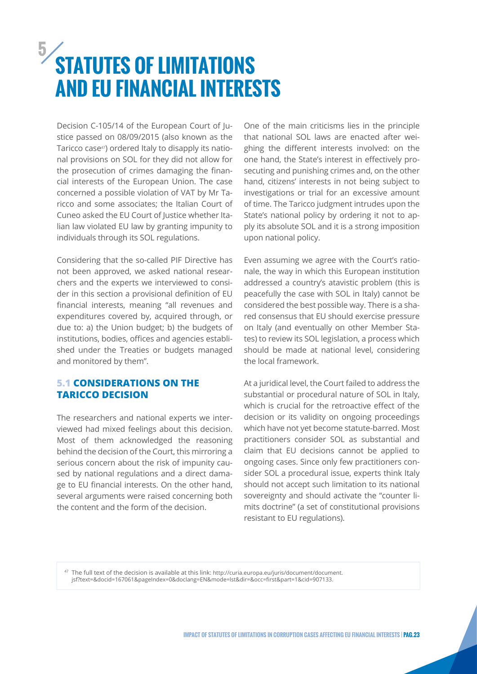## **5 STATUTES OF LIMITATIONS AND EU FINANCIAL INTERESTS**

Decision C-105/14 of the European Court of Justice passed on 08/09/2015 (also known as the Taricco case<sup>47</sup>) ordered Italy to disapply its national provisions on SOL for they did not allow for the prosecution of crimes damaging the financial interests of the European Union. The case concerned a possible violation of VAT by Mr Taricco and some associates; the Italian Court of Cuneo asked the EU Court of Justice whether Italian law violated EU law by granting impunity to individuals through its SOL regulations.

Considering that the so-called PIF Directive has not been approved, we asked national researchers and the experts we interviewed to consider in this section a provisional definition of EU financial interests, meaning "all revenues and expenditures covered by, acquired through, or due to: a) the Union budget; b) the budgets of institutions, bodies, offices and agencies established under the Treaties or budgets managed and monitored by them".

## **5.1 CONSIDERATIONS ON THE TARICCO DECISION**

The researchers and national experts we interviewed had mixed feelings about this decision. Most of them acknowledged the reasoning behind the decision of the Court, this mirroring a serious concern about the risk of impunity caused by national regulations and a direct damage to EU financial interests. On the other hand, several arguments were raised concerning both the content and the form of the decision.

One of the main criticisms lies in the principle that national SOL laws are enacted after weighing the different interests involved: on the one hand, the State's interest in effectively prosecuting and punishing crimes and, on the other hand, citizens' interests in not being subject to investigations or trial for an excessive amount of time. The Taricco judgment intrudes upon the State's national policy by ordering it not to apply its absolute SOL and it is a strong imposition upon national policy.

Even assuming we agree with the Court's rationale, the way in which this European institution addressed a country's atavistic problem (this is peacefully the case with SOL in Italy) cannot be considered the best possible way. There is a shared consensus that EU should exercise pressure on Italy (and eventually on other Member States) to review its SOL legislation, a process which should be made at national level, considering the local framework.

At a juridical level, the Court failed to address the substantial or procedural nature of SOL in Italy, which is crucial for the retroactive effect of the decision or its validity on ongoing proceedings which have not yet become statute-barred. Most practitioners consider SOL as substantial and claim that EU decisions cannot be applied to ongoing cases. Since only few practitioners consider SOL a procedural issue, experts think Italy should not accept such limitation to its national sovereignty and should activate the "counter limits doctrine" (a set of constitutional provisions resistant to EU regulations).

<sup>47</sup> The full text of the decision is available at this link: [http://curia.europa.eu/juris/document/document.](http://curia.europa.eu/juris/document/document.jsf?text=&docid=167061&pageIndex=0&doclang=EN&mode=ls) [jsf?text=&docid=167061&pageIndex=0&doclang=EN&mode=lst&dir=&occ=first&part=1&cid=907133](http://curia.europa.eu/juris/document/document.jsf?text=&docid=167061&pageIndex=0&doclang=EN&mode=ls).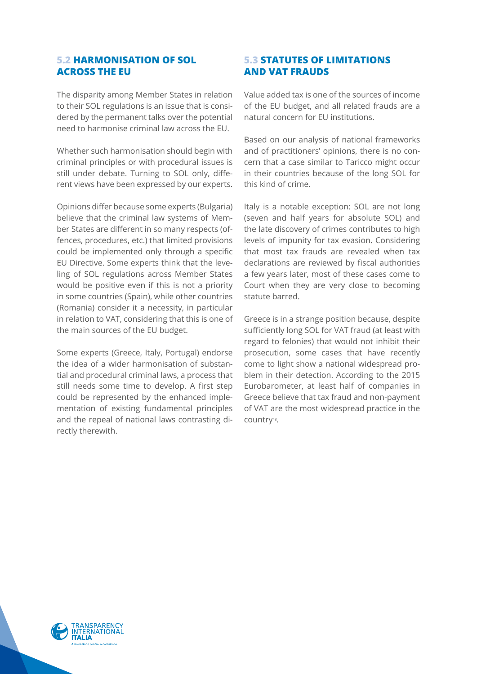## **5.2 HARMONISATION OF SOL ACROSS THE EU**

The disparity among Member States in relation to their SOL regulations is an issue that is considered by the permanent talks over the potential need to harmonise criminal law across the EU.

Whether such harmonisation should begin with criminal principles or with procedural issues is still under debate. Turning to SOL only, different views have been expressed by our experts.

Opinions differ because some experts (Bulgaria) believe that the criminal law systems of Member States are different in so many respects (offences, procedures, etc.) that limited provisions could be implemented only through a specific EU Directive. Some experts think that the leveling of SOL regulations across Member States would be positive even if this is not a priority in some countries (Spain), while other countries (Romania) consider it a necessity, in particular in relation to VAT, considering that this is one of the main sources of the EU budget.

Some experts (Greece, Italy, Portugal) endorse the idea of a wider harmonisation of substantial and procedural criminal laws, a process that still needs some time to develop. A first step could be represented by the enhanced implementation of existing fundamental principles and the repeal of national laws contrasting directly therewith.

## **5.3 STATUTES OF LIMITATIONS AND VAT FRAUDS**

Value added tax is one of the sources of income of the EU budget, and all related frauds are a natural concern for EU institutions.

Based on our analysis of national frameworks and of practitioners' opinions, there is no concern that a case similar to Taricco might occur in their countries because of the long SOL for this kind of crime.

Italy is a notable exception: SOL are not long (seven and half years for absolute SOL) and the late discovery of crimes contributes to high levels of impunity for tax evasion. Considering that most tax frauds are revealed when tax declarations are reviewed by fiscal authorities a few years later, most of these cases come to Court when they are very close to becoming statute barred.

Greece is in a strange position because, despite sufficiently long SOL for VAT fraud (at least with regard to felonies) that would not inhibit their prosecution, some cases that have recently come to light show a national widespread problem in their detection. According to the 2015 Eurobarometer, at least half of companies in Greece believe that tax fraud and non-payment of VAT are the most widespread practice in the country48.

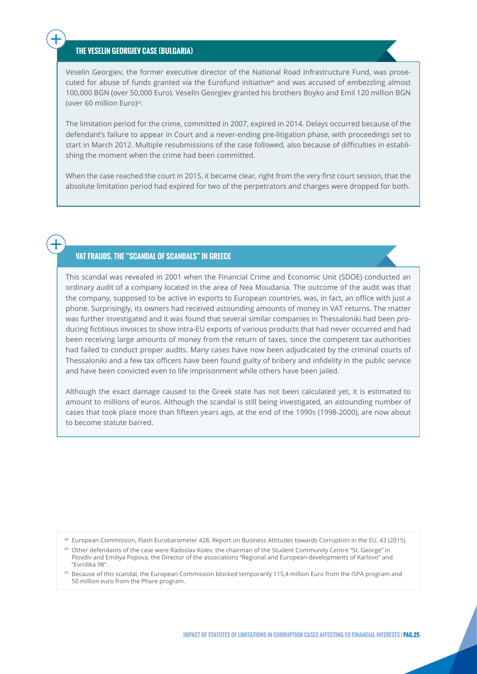### **THE VESELIN GEORGIEV CASE (BULGARIA)**

Veselin Georgiev, the former executive director of the National Road Infrastructure Fund, was prosecuted for abuse of funds granted via the Eurofund initiative<sup>49</sup> and was accused of embezzling almost 100,000 BGN (over 50,000 Euro). Veselin Georgiev granted his brothers Boyko and Emil 120 million BGN (over 60 million Euro)<sup>50</sup>.

The limitation period for the crime, committed in 2007, expired in 2014. Delays occurred because of the defendant's failure to appear in Court and a never-ending pre-litigation phase, with proceedings set to start in March 2012. Multiple resubmissions of the case followed, also because of difficulties in establishing the moment when the crime had been committed.

When the case reached the court in 2015, it became clear, right from the very first court session, that the absolute limitation period had expired for two of the perpetrators and charges were dropped for both.

### **VAT FRAUDS. THE "SCANDAL OF SCANDALS" IN GREECE**

This scandal was revealed in 2001 when the Financial Crime and Economic Unit (SDOE) conducted an ordinary audit of a company located in the area of Nea Moudania. The outcome of the audit was that the company, supposed to be active in exports to European countries, was, in fact, an office with just a phone. Surprisingly, its owners had received astounding amounts of money in VAT returns. The matter was further investigated and it was found that several similar companies in Thessaloniki had been producing fictitious invoices to show intra-EU exports of various products that had never occurred and had been receiving large amounts of money from the return of taxes, since the competent tax authorities had failed to conduct proper audits. Many cases have now been adjudicated by the criminal courts of Thessaloniki and a few tax officers have been found guilty of bribery and infidelity in the public service and have been convicted even to life imprisonment while others have been jailed.

Although the exact damage caused to the Greek state has not been calculated yet, it is estimated to amount to millions of euros. Although the scandal is still being investigated, an astounding number of cases that took place more than fifteen years ago, at the end of the 1990s (1998-2000), are now about to become statute barred.

<sup>48</sup> European Commission, Flash Eurobarometer 428, Report on Business Attitudes towards Corruption in the EU, 43 (2015).

<sup>49</sup> Other defendants of the case were Radoslav Kolev, the chairman of the Student Community Centre "St. George" in Plovdiv and Emiliya Popova, the Director of the associations "Regional and European developments of Karlovo" and "Evridika 98".

<sup>50</sup> Because of this scandal, the European Commission blocked temporarily 115,4 million Euro from the ISPA program and 50 million euro from the Phare program.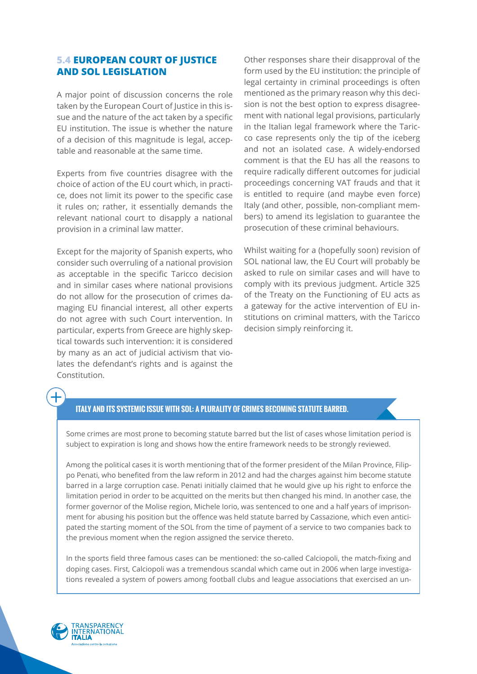## **5.4 EUROPEAN COURT OF JUSTICE AND SOL LEGISLATION**

A major point of discussion concerns the role taken by the European Court of Justice in this issue and the nature of the act taken by a specific EU institution. The issue is whether the nature of a decision of this magnitude is legal, acceptable and reasonable at the same time.

Experts from five countries disagree with the choice of action of the EU court which, in practice, does not limit its power to the specific case it rules on; rather, it essentially demands the relevant national court to disapply a national provision in a criminal law matter.

Except for the majority of Spanish experts, who consider such overruling of a national provision as acceptable in the specific Taricco decision and in similar cases where national provisions do not allow for the prosecution of crimes damaging EU financial interest, all other experts do not agree with such Court intervention. In particular, experts from Greece are highly skeptical towards such intervention: it is considered by many as an act of judicial activism that violates the defendant's rights and is against the Constitution.

Other responses share their disapproval of the form used by the EU institution: the principle of legal certainty in criminal proceedings is often mentioned as the primary reason why this decision is not the best option to express disagreement with national legal provisions, particularly in the Italian legal framework where the Taricco case represents only the tip of the iceberg and not an isolated case. A widely-endorsed comment is that the EU has all the reasons to require radically different outcomes for judicial proceedings concerning VAT frauds and that it is entitled to require (and maybe even force) Italy (and other, possible, non-compliant members) to amend its legislation to guarantee the prosecution of these criminal behaviours.

Whilst waiting for a (hopefully soon) revision of SOL national law, the EU Court will probably be asked to rule on similar cases and will have to comply with its previous judgment. Article 325 of the Treaty on the Functioning of EU acts as a gateway for the active intervention of EU institutions on criminal matters, with the Taricco decision simply reinforcing it.

### **ITALY AND ITS SYSTEMIC ISSUE WITH SOL: A PLURALITY OF CRIMES BECOMING STATUTE BARRED.**

Some crimes are most prone to becoming statute barred but the list of cases whose limitation period is subject to expiration is long and shows how the entire framework needs to be strongly reviewed.

Among the political cases it is worth mentioning that of the former president of the Milan Province, Filippo Penati, who benefited from the law reform in 2012 and had the charges against him become statute barred in a large corruption case. Penati initially claimed that he would give up his right to enforce the limitation period in order to be acquitted on the merits but then changed his mind. In another case, the former governor of the Molise region, Michele Iorio, was sentenced to one and a half years of imprisonment for abusing his position but the offence was held statute barred by Cassazione, which even anticipated the starting moment of the SOL from the time of payment of a service to two companies back to the previous moment when the region assigned the service thereto.

In the sports field three famous cases can be mentioned: the so-called Calciopoli, the match-fixing and doping cases. First, Calciopoli was a tremendous scandal which came out in 2006 when large investigations revealed a system of powers among football clubs and league associations that exercised an un-

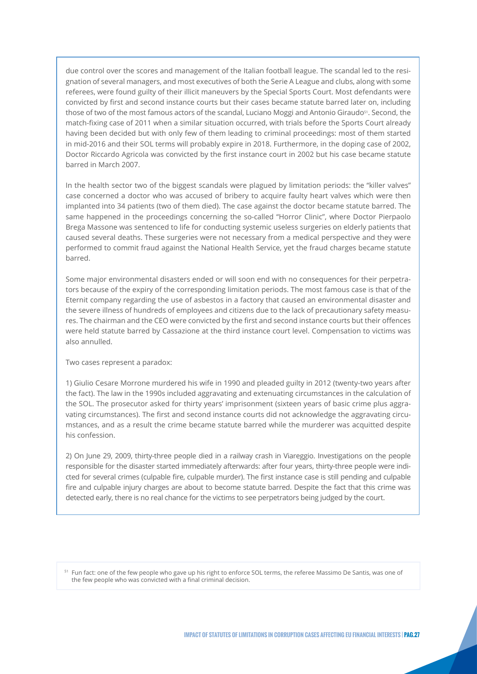due control over the scores and management of the Italian football league. The scandal led to the resignation of several managers, and most executives of both the Serie A League and clubs, along with some referees, were found guilty of their illicit maneuvers by the Special Sports Court. Most defendants were convicted by first and second instance courts but their cases became statute barred later on, including those of two of the most famous actors of the scandal, Luciano Moggi and Antonio Giraudo<sup>51</sup>. Second, the match-fixing case of 2011 when a similar situation occurred, with trials before the Sports Court already having been decided but with only few of them leading to criminal proceedings: most of them started in mid-2016 and their SOL terms will probably expire in 2018. Furthermore, in the doping case of 2002, Doctor Riccardo Agricola was convicted by the first instance court in 2002 but his case became statute barred in March 2007.

In the health sector two of the biggest scandals were plagued by limitation periods: the "killer valves" case concerned a doctor who was accused of bribery to acquire faulty heart valves which were then implanted into 34 patients (two of them died). The case against the doctor became statute barred. The same happened in the proceedings concerning the so-called "Horror Clinic", where Doctor Pierpaolo Brega Massone was sentenced to life for conducting systemic useless surgeries on elderly patients that caused several deaths. These surgeries were not necessary from a medical perspective and they were performed to commit fraud against the National Health Service, yet the fraud charges became statute barred.

Some major environmental disasters ended or will soon end with no consequences for their perpetrators because of the expiry of the corresponding limitation periods. The most famous case is that of the Eternit company regarding the use of asbestos in a factory that caused an environmental disaster and the severe illness of hundreds of employees and citizens due to the lack of precautionary safety measures. The chairman and the CEO were convicted by the first and second instance courts but their offences were held statute barred by Cassazione at the third instance court level. Compensation to victims was also annulled.

Two cases represent a paradox:

1) Giulio Cesare Morrone murdered his wife in 1990 and pleaded guilty in 2012 (twenty-two years after the fact). The law in the 1990s included aggravating and extenuating circumstances in the calculation of the SOL. The prosecutor asked for thirty years' imprisonment (sixteen years of basic crime plus aggravating circumstances). The first and second instance courts did not acknowledge the aggravating circumstances, and as a result the crime became statute barred while the murderer was acquitted despite his confession.

2) On June 29, 2009, thirty-three people died in a railway crash in Viareggio. Investigations on the people responsible for the disaster started immediately afterwards: after four years, thirty-three people were indicted for several crimes (culpable fire, culpable murder). The first instance case is still pending and culpable fire and culpable injury charges are about to become statute barred. Despite the fact that this crime was detected early, there is no real chance for the victims to see perpetrators being judged by the court.

<sup>51</sup> Fun fact: one of the few people who gave up his right to enforce SOL terms, the referee Massimo De Santis, was one of the few people who was convicted with a final criminal decision.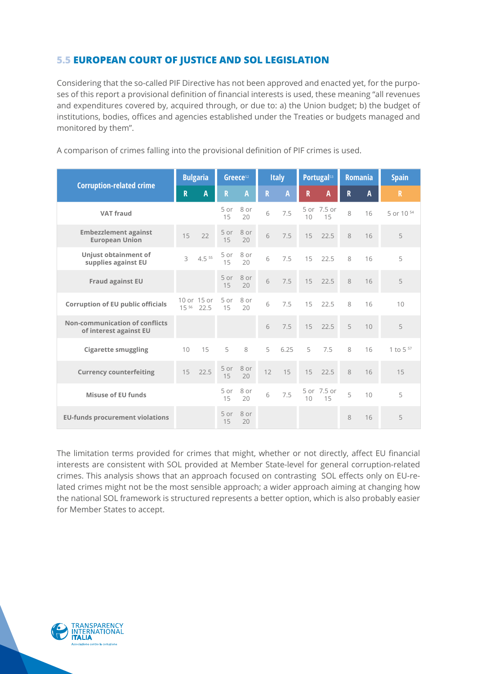## **5.5 EUROPEAN COURT OF JUSTICE AND SOL LEGISLATION**

Considering that the so-called PIF Directive has not been approved and enacted yet, for the purposes of this report a provisional definition of financial interests is used, these meaning "all revenues and expenditures covered by, acquired through, or due to: a) the Union budget; b) the budget of institutions, bodies, offices and agencies established under the Treaties or budgets managed and monitored by them".

A comparison of crimes falling into the provisional definition of PIF crimes is used.

|                                                          | <b>Bulgaria</b> |                           | Greece <sup>52</sup> |                | <b>Italy</b> |              | <b>Portugal</b> <sup>53</sup> |                   | <b>Romania</b> |    | <b>Spain</b> |
|----------------------------------------------------------|-----------------|---------------------------|----------------------|----------------|--------------|--------------|-------------------------------|-------------------|----------------|----|--------------|
| <b>Corruption-related crime</b>                          | $\mathbf R$     | A                         | R                    | $\overline{A}$ | $\mathbf R$  | $\mathsf{A}$ | R                             | A                 | R              | A  | $\mathsf R$  |
| <b>VAT fraud</b>                                         |                 |                           | 5 or<br>15           | 8 or<br>20     | 6            | 7.5          | 10                            | 5 or 7.5 or<br>15 | 8              | 16 | 5 or 10 54   |
| <b>Embezzlement against</b><br><b>European Union</b>     | 15              | 22                        | 5 or<br>15           | 8 or<br>20     | 6            | 7.5          | 15                            | 22.5              | 8              | 16 | 5            |
| Unjust obtainment of<br>supplies against EU              | $\mathcal{L}$   | 4.5 55                    | 5 or<br>15           | 8 or<br>20     | 6            | 7.5          | 15                            | 22.5              | 8              | 16 | 5            |
| <b>Fraud against EU</b>                                  |                 |                           | 5 or<br>15           | 8 or<br>20     | 6            | 7.5          | 15                            | 22.5              | 8              | 16 | 5            |
| <b>Corruption of EU public officials</b>                 |                 | 10 or 15 or<br>15 56 22.5 | 5 or<br>15           | 8 or<br>20     | 6            | 7.5          | 15                            | 22.5              | 8              | 16 | 10           |
| Non-communication of conflicts<br>of interest against EU |                 |                           |                      |                | 6            | 7.5          | 15                            | 22.5              | 5              | 10 | 5            |
| <b>Cigarette smuggling</b>                               | 10              | 15                        | 5                    | 8              | 5            | 6.25         | 5                             | 7.5               | 8              | 16 | 1 to 5 57    |
| <b>Currency counterfeiting</b>                           | 15              | 22.5                      | 5 or<br>15           | 8 or<br>20     | 12           | 15           | 15                            | 22.5              | 8              | 16 | 15           |
| <b>Misuse of EU funds</b>                                |                 |                           | 5 or<br>15           | 8 or<br>20     | 6            | 7.5          | 10                            | 5 or 7.5 or<br>15 | 5              | 10 | 5            |
| <b>EU-funds procurement violations</b>                   |                 |                           | 5 or<br>15           | 8 or<br>20     |              |              |                               |                   | 8              | 16 | 5            |

The limitation terms provided for crimes that might, whether or not directly, affect EU financial interests are consistent with SOL provided at Member State-level for general corruption-related crimes. This analysis shows that an approach focused on contrasting SOL effects only on EU-related crimes might not be the most sensible approach; a wider approach aiming at changing how the national SOL framework is structured represents a better option, which is also probably easier for Member States to accept.

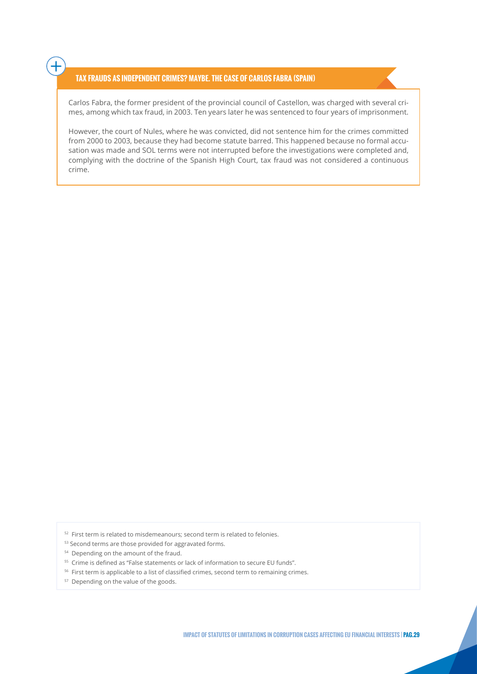### **TAX FRAUDS AS INDEPENDENT CRIMES? MAYBE. THE CASE OF CARLOS FABRA (SPAIN)**

Carlos Fabra, the former president of the provincial council of Castellon, was charged with several crimes, among which tax fraud, in 2003. Ten years later he was sentenced to four years of imprisonment.

However, the court of Nules, where he was convicted, did not sentence him for the crimes committed from 2000 to 2003, because they had become statute barred. This happened because no formal accusation was made and SOL terms were not interrupted before the investigations were completed and, complying with the doctrine of the Spanish High Court, tax fraud was not considered a continuous crime.

<sup>52</sup> First term is related to misdemeanours; second term is related to felonies.

- 53 Second terms are those provided for aggravated forms.
- <sup>54</sup> Depending on the amount of the fraud.
- <sup>55</sup> Crime is defined as "False statements or lack of information to secure EU funds".
- <sup>56</sup> First term is applicable to a list of classified crimes, second term to remaining crimes.
- <sup>57</sup> Depending on the value of the goods.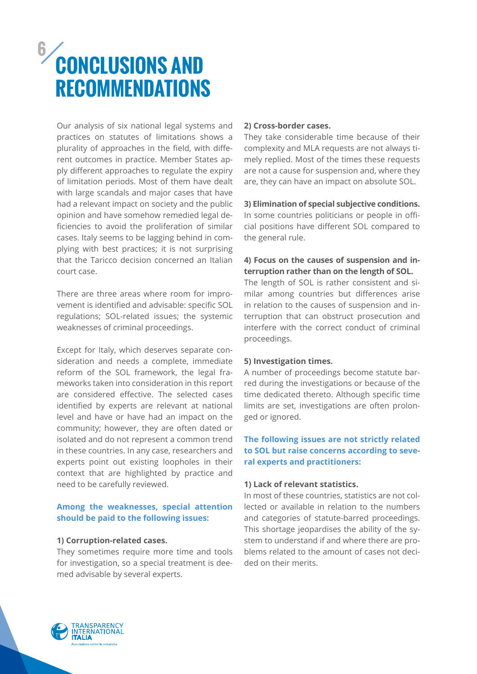## **6 CONCLUSIONS AND RECOMMENDATIONS**

Our analysis of six national legal systems and practices on statutes of limitations shows a plurality of approaches in the field, with different outcomes in practice. Member States apply different approaches to regulate the expiry of limitation periods. Most of them have dealt with large scandals and major cases that have had a relevant impact on society and the public opinion and have somehow remedied legal deficiencies to avoid the proliferation of similar cases. Italy seems to be lagging behind in complying with best practices; it is not surprising that the Taricco decision concerned an Italian court case.

There are three areas where room for improvement is identified and advisable: specific SOL regulations; SOL-related issues; the systemic weaknesses of criminal proceedings.

Except for Italy, which deserves separate consideration and needs a complete, immediate reform of the SOL framework, the legal frameworks taken into consideration in this report are considered effective. The selected cases identified by experts are relevant at national level and have or have had an impact on the community; however, they are often dated or isolated and do not represent a common trend in these countries. In any case, researchers and experts point out existing loopholes in their context that are highlighted by practice and need to be carefully reviewed.

## **Among the weaknesses, special attention should be paid to the following issues:**

### **1) Corruption-related cases.**

They sometimes require more time and tools for investigation, so a special treatment is deemed advisable by several experts.

### **2) Cross-border cases.**

They take considerable time because of their complexity and MLA requests are not always timely replied. Most of the times these requests are not a cause for suspension and, where they are, they can have an impact on absolute SOL.

### **3) Elimination of special subjective conditions.**

In some countries politicians or people in official positions have different SOL compared to the general rule.

## **4) Focus on the causes of suspension and interruption rather than on the length of SOL.**

The length of SOL is rather consistent and similar among countries but differences arise in relation to the causes of suspension and interruption that can obstruct prosecution and interfere with the correct conduct of criminal proceedings.

### **5) Investigation times.**

A number of proceedings become statute barred during the investigations or because of the time dedicated thereto. Although specific time limits are set, investigations are often prolonged or ignored.

## **The following issues are not strictly related to SOL but raise concerns according to several experts and practitioners:**

## **1) Lack of relevant statistics.**

In most of these countries, statistics are not collected or available in relation to the numbers and categories of statute-barred proceedings. This shortage jeopardises the ability of the system to understand if and where there are problems related to the amount of cases not decided on their merits.

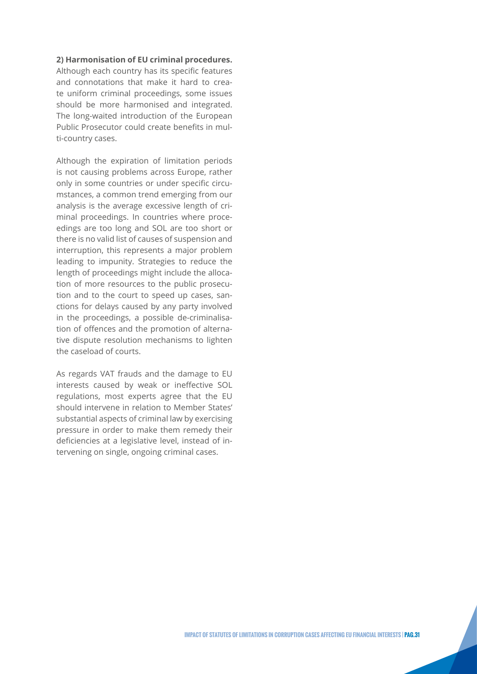### **2) Harmonisation of EU criminal procedures.**

Although each country has its specific features and connotations that make it hard to create uniform criminal proceedings, some issues should be more harmonised and integrated. The long-waited introduction of the European Public Prosecutor could create benefits in multi-country cases.

Although the expiration of limitation periods is not causing problems across Europe, rather only in some countries or under specific circumstances, a common trend emerging from our analysis is the average excessive length of criminal proceedings. In countries where proceedings are too long and SOL are too short or there is no valid list of causes of suspension and interruption, this represents a major problem leading to impunity. Strategies to reduce the length of proceedings might include the allocation of more resources to the public prosecution and to the court to speed up cases, sanctions for delays caused by any party involved in the proceedings, a possible de-criminalisation of offences and the promotion of alternative dispute resolution mechanisms to lighten the caseload of courts.

As regards VAT frauds and the damage to EU interests caused by weak or ineffective SOL regulations, most experts agree that the EU should intervene in relation to Member States' substantial aspects of criminal law by exercising pressure in order to make them remedy their deficiencies at a legislative level, instead of intervening on single, ongoing criminal cases.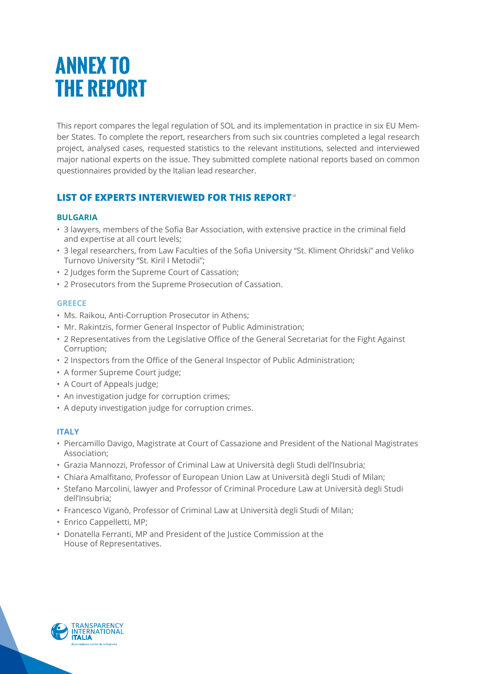# **ANNEX TO THE REPORT**

This report compares the legal regulation of SOL and its implementation in practice in six EU Member States. To complete the report, researchers from such six countries completed a legal research project, analysed cases, requested statistics to the relevant institutions, selected and interviewed major national experts on the issue. They submitted complete national reports based on common questionnaires provided by the Italian lead researcher.

## **LIST OF EXPERTS INTERVIEWED FOR THIS REPORT** 58

## **BULGARIA**

- 3 lawyers, members of the Sofia Bar Association, with extensive practice in the criminal field and expertise at all court levels;
- 3 legal researchers, from Law Faculties of the Sofia University "St. Kliment Ohridski" and Veliko Turnovo University "St. Kiril I Metodii";
- 2 Judges form the Supreme Court of Cassation;
- 2 Prosecutors from the Supreme Prosecution of Cassation.

## **GREECE**

- Ms. Raikou, Anti-Corruption Prosecutor in Athens;
- Mr. Rakintzis, former General Inspector of Public Administration;
- 2 Representatives from the Legislative Office of the General Secretariat for the Fight Against Corruption;
- 2 Inspectors from the Office of the General Inspector of Public Administration;
- A former Supreme Court judge;
- A Court of Appeals judge;
- An investigation judge for corruption crimes;
- A deputy investigation judge for corruption crimes.

### **ITALY**

- Piercamillo Davigo, Magistrate at Court of Cassazione and President of the National Magistrates Association;
- Grazia Mannozzi, Professor of Criminal Law at Università degli Studi dell'Insubria;
- Chiara Amalfitano, Professor of European Union Law at Università degli Studi of Milan;
- Stefano Marcolini, lawyer and Professor of Criminal Procedure Law at Università degli Studi dell'Insubria;
- Francesco Viganò, Professor of Criminal Law at Università degli Studi of Milan;
- Enrico Cappelletti, MP;
- Donatella Ferranti, MP and President of the Justice Commission at the House of Representatives.

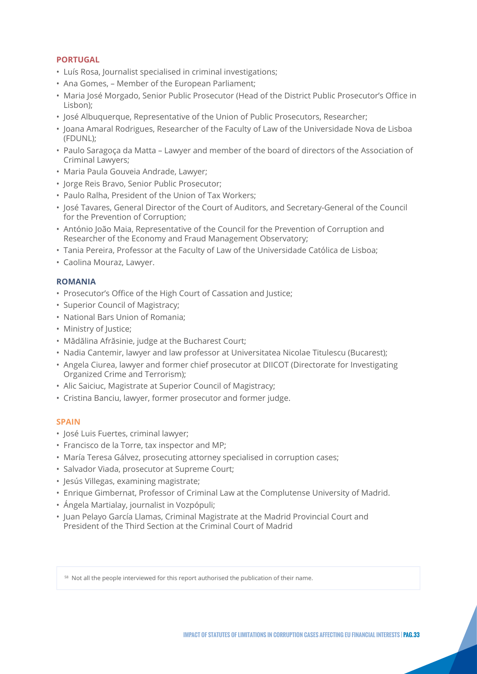### **PORTUGAL**

- Luís Rosa, Journalist specialised in criminal investigations;
- Ana Gomes, Member of the European Parliament;
- Maria José Morgado, Senior Public Prosecutor (Head of the District Public Prosecutor's Office in Lisbon);
- José Albuquerque, Representative of the Union of Public Prosecutors, Researcher;
- Joana Amaral Rodrigues, Researcher of the Faculty of Law of the Universidade Nova de Lisboa (FDUNL);
- Paulo Saragoça da Matta Lawyer and member of the board of directors of the Association of Criminal Lawyers;
- Maria Paula Gouveia Andrade, Lawyer;
- Jorge Reis Bravo, Senior Public Prosecutor;
- Paulo Ralha, President of the Union of Tax Workers;
- José Tavares, General Director of the Court of Auditors, and Secretary-General of the Council for the Prevention of Corruption;
- António João Maia, Representative of the Council for the Prevention of Corruption and Researcher of the Economy and Fraud Management Observatory;
- Tania Pereira, Professor at the Faculty of Law of the Universidade Católica de Lisboa;
- Caolina Mouraz, Lawyer.

### **ROMANIA**

- Prosecutor's Office of the High Court of Cassation and Justice;
- Superior Council of Magistracy;
- National Bars Union of Romania;
- Ministry of Justice;
- Mădălina Afrăsinie, judge at the Bucharest Court;
- Nadia Cantemir, lawyer and law professor at Universitatea Nicolae Titulescu (Bucarest);
- Angela Ciurea, lawyer and former chief prosecutor at DIICOT (Directorate for Investigating Organized Crime and Terrorism);
- Alic Saiciuc, Magistrate at Superior Council of Magistracy;
- Cristina Banciu, lawyer, former prosecutor and former judge.

### **SPAIN**

- José Luis Fuertes, criminal lawyer;
- Francisco de la Torre, tax inspector and MP;
- María Teresa Gálvez, prosecuting attorney specialised in corruption cases;
- Salvador Viada, prosecutor at Supreme Court;
- Jesús Villegas, examining magistrate;
- Enrique Gimbernat, Professor of Criminal Law at the Complutense University of Madrid.
- Ángela Martialay, journalist in Vozpópuli;
- Juan Pelayo García Llamas, Criminal Magistrate at the Madrid Provincial Court and President of the Third Section at the Criminal Court of Madrid

<sup>58</sup> Not all the people interviewed for this report authorised the publication of their name.